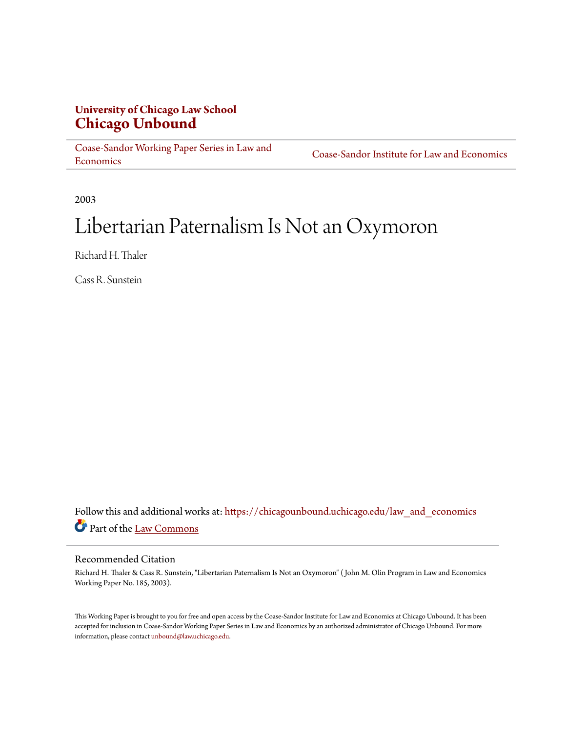# **University of Chicago Law School [Chicago Unbound](https://chicagounbound.uchicago.edu?utm_source=chicagounbound.uchicago.edu%2Flaw_and_economics%2F308&utm_medium=PDF&utm_campaign=PDFCoverPages)**

[Coase-Sandor Working Paper Series in Law and](https://chicagounbound.uchicago.edu/law_and_economics?utm_source=chicagounbound.uchicago.edu%2Flaw_and_economics%2F308&utm_medium=PDF&utm_campaign=PDFCoverPages) [Economics](https://chicagounbound.uchicago.edu/law_and_economics?utm_source=chicagounbound.uchicago.edu%2Flaw_and_economics%2F308&utm_medium=PDF&utm_campaign=PDFCoverPages)

[Coase-Sandor Institute for Law and Economics](https://chicagounbound.uchicago.edu/coase_sandor_institute?utm_source=chicagounbound.uchicago.edu%2Flaw_and_economics%2F308&utm_medium=PDF&utm_campaign=PDFCoverPages)

2003

# Libertarian Paternalism Is Not an Oxymoron

Richard H. Thaler

Cass R. Sunstein

Follow this and additional works at: [https://chicagounbound.uchicago.edu/law\\_and\\_economics](https://chicagounbound.uchicago.edu/law_and_economics?utm_source=chicagounbound.uchicago.edu%2Flaw_and_economics%2F308&utm_medium=PDF&utm_campaign=PDFCoverPages) Part of the [Law Commons](http://network.bepress.com/hgg/discipline/578?utm_source=chicagounbound.uchicago.edu%2Flaw_and_economics%2F308&utm_medium=PDF&utm_campaign=PDFCoverPages)

#### Recommended Citation

Richard H. Thaler & Cass R. Sunstein, "Libertarian Paternalism Is Not an Oxymoron" ( John M. Olin Program in Law and Economics Working Paper No. 185, 2003).

This Working Paper is brought to you for free and open access by the Coase-Sandor Institute for Law and Economics at Chicago Unbound. It has been accepted for inclusion in Coase-Sandor Working Paper Series in Law and Economics by an authorized administrator of Chicago Unbound. For more information, please contact [unbound@law.uchicago.edu.](mailto:unbound@law.uchicago.edu)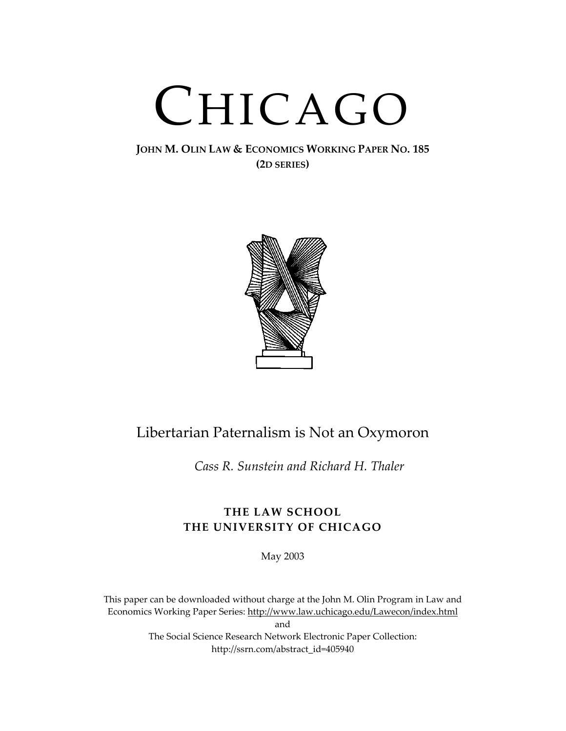# CHICAGO

### **JOHN M. OLIN LAW & ECONOMICS WORKING PAPER NO. 185 (2D SERIES)**



# Libertarian Paternalism is Not an Oxymoron

*Cass R. Sunstein and Richard H. Thaler* 

# **THE LAW SCHOOL THE UNIVERSITY OF CHICAGO**

May 2003

This paper can be downloaded without charge at the John M. Olin Program in Law and Economics Working Paper Series: [http://www.law.uchicago.edu/Lawecon/index.html](http://www.law.uchicago.edu/Publications/Working/index.html) and The Social Science Research Network Electronic Paper Collection:

[http://ssrn.com/abstract\\_id=405940](http://papers.ssrn.com/sol3/search.taf)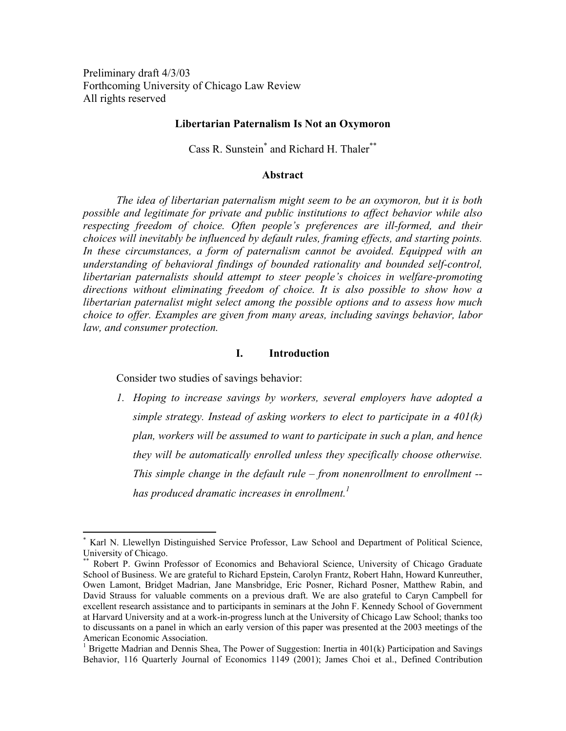<span id="page-2-2"></span>Preliminary draft 4/3/03 Forthcoming University of Chicago Law Review All rights reserved

#### **Libertarian Paternalism Is Not an Oxymoron**

Cass R. Sunstein<sup>\*</sup> and Richard H. Thaler<sup>[\\*\\*](#page-2-1)</sup>

#### **Abstract**

*The idea of libertarian paternalism might seem to be an oxymoron, but it is both possible and legitimate for private and public institutions to affect behavior while also respecting freedom of choice. Often people's preferences are ill-formed, and their choices will inevitably be influenced by default rules, framing effects, and starting points.*  In these circumstances, a form of paternalism cannot be avoided. Equipped with an *understanding of behavioral findings of bounded rationality and bounded self-control, libertarian paternalists should attempt to steer people's choices in welfare-promoting directions without eliminating freedom of choice. It is also possible to show how a libertarian paternalist might select among the possible options and to assess how much choice to offer. Examples are given from many areas, including savings behavior, labor law, and consumer protection.* 

#### **I. Introduction**

Consider two studies of savings behavior:

 $\overline{a}$ 

*1. Hoping to increase savings by workers, several employers have adopted a simple strategy. Instead of asking workers to elect to participate in a 401(k) plan, workers will be assumed to want to participate in such a plan, and hence they will be automatically enrolled unless they specifically choose otherwise. This simple change in the default rule – from nonenrollment to enrollment - has produced dramatic increases in enrollment.[1](#page-2-2)*

<span id="page-2-0"></span><sup>\*</sup> Karl N. Llewellyn Distinguished Service Professor, Law School and Department of Political Science, University of Chicago.

<span id="page-2-1"></span>Robert P. Gwinn Professor of Economics and Behavioral Science, University of Chicago Graduate School of Business. We are grateful to Richard Epstein, Carolyn Frantz, Robert Hahn, Howard Kunreuther, Owen Lamont, Bridget Madrian, Jane Mansbridge, Eric Posner, Richard Posner, Matthew Rabin, and David Strauss for valuable comments on a previous draft. We are also grateful to Caryn Campbell for excellent research assistance and to participants in seminars at the John F. Kennedy School of Government at Harvard University and at a work-in-progress lunch at the University of Chicago Law School; thanks too to discussants on a panel in which an early version of this paper was presented at the 2003 meetings of the American Economic Association.

<sup>&</sup>lt;sup>1</sup> Brigette Madrian and Dennis Shea, The Power of Suggestion: Inertia in  $401(k)$  Participation and Savings Behavior, 116 Quarterly Journal of Economics 1149 (2001); James Choi et al., Defined Contribution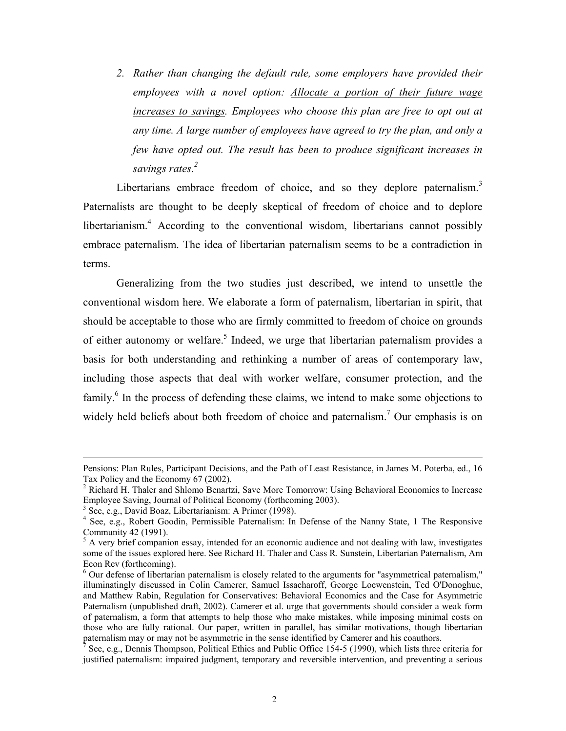<span id="page-3-5"></span>*2. Rather than changing the default rule, some employers have provided their employees with a novel option: Allocate a portion of their future wage increases to savings. Employees who choose this plan are free to opt out at any time. A large number of employees have agreed to try the plan, and only a few have opted out. The result has been to produce significant increases in savings rates.[2](#page-3-0)*

Libertarians embrace freedom of choice, and so they deplore paternalism.<sup>[3](#page-3-1)</sup> Paternalists are thought to be deeply skeptical of freedom of choice and to deplore libertarianism.<sup>[4](#page-3-2)</sup> According to the conventional wisdom, libertarians cannot possibly embrace paternalism. The idea of libertarian paternalism seems to be a contradiction in terms.

Generalizing from the two studies just described, we intend to unsettle the conventional wisdom here. We elaborate a form of paternalism, libertarian in spirit, that should be acceptable to those who are firmly committed to freedom of choice on grounds of either autonomy or welfare.<sup>[5](#page-3-3)</sup> Indeed, we urge that libertarian paternalism provides a basis for both understanding and rethinking a number of areas of contemporary law, including those aspects that deal with worker welfare, consumer protection, and the family.<sup>[6](#page-3-4)</sup> In the process of defending these claims, we intend to make some objections to widely held beliefs about both freedom of choice and paternalism.<sup>[7](#page-3-5)</sup> Our emphasis is on

Pensions: Plan Rules, Participant Decisions, and the Path of Least Resistance, in James M. Poterba, ed., 16 Tax Policy and the Economy 67 (2002).

<span id="page-3-0"></span><sup>&</sup>lt;sup>2</sup> Richard H. Thaler and Shlomo Benartzi, Save More Tomorrow: Using Behavioral Economics to Increase Employee Saving, Journal of Political Economy (forthcoming 2003).

<span id="page-3-1"></span> $3$  See, e.g., David Boaz, Libertarianism: A Primer (1998).

<span id="page-3-2"></span><sup>&</sup>lt;sup>4</sup> See, e.g., Robert Goodin, Permissible Paternalism: In Defense of the Nanny State, 1 The Responsive Community 42 (1991).

<span id="page-3-3"></span><sup>&</sup>lt;sup>5</sup> A very brief companion essay, intended for an economic audience and not dealing with law, investigates some of the issues explored here. See Richard H. Thaler and Cass R. Sunstein, Libertarian Paternalism, Am Econ Rev (forthcoming).<br><sup>6</sup> Our defense of libertarian paternalism is closely related to the arguments for "asymmetrical paternalism,"

<span id="page-3-4"></span>illuminatingly discussed in Colin Camerer, Samuel Issacharoff, George Loewenstein, Ted O'Donoghue, and Matthew Rabin, Regulation for Conservatives: Behavioral Economics and the Case for Asymmetric Paternalism (unpublished draft, 2002). Camerer et al. urge that governments should consider a weak form of paternalism, a form that attempts to help those who make mistakes, while imposing minimal costs on those who are fully rational. Our paper, written in parallel, has similar motivations, though libertarian paternalism may or may not be asymmetric in the sense identified by Camerer and his coauthors. 7

See, e.g., Dennis Thompson, Political Ethics and Public Office 154-5 (1990), which lists three criteria for justified paternalism: impaired judgment, temporary and reversible intervention, and preventing a serious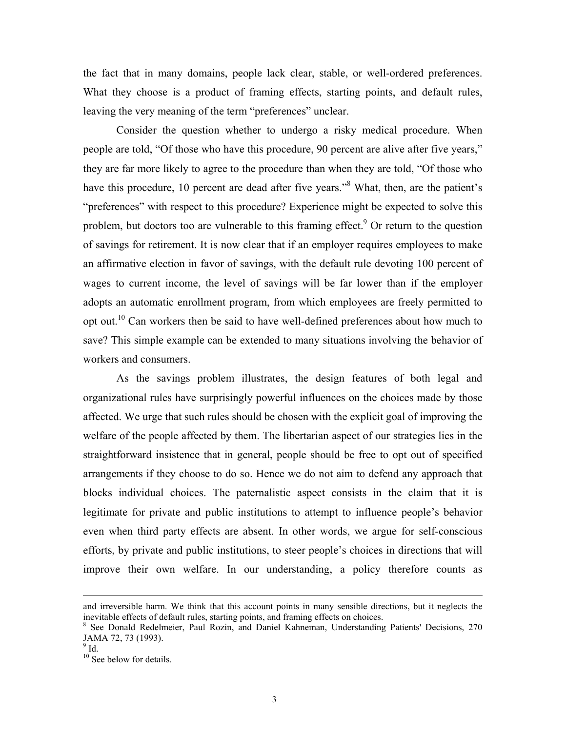the fact that in many domains, people lack clear, stable, or well-ordered preferences. What they choose is a product of framing effects, starting points, and default rules, leaving the very meaning of the term "preferences" unclear.

Consider the question whether to undergo a risky medical procedure. When people are told, "Of those who have this procedure, 90 percent are alive after five years," they are far more likely to agree to the procedure than when they are told, "Of those who have this procedure, 10 percent are dead after five years."<sup>8</sup> What, then, are the patient's "preferences" with respect to this procedure? Experience might be expected to solve this problem, but doctors too are vulnerable to this framing effect.<sup>9</sup> Or return to the question of savings for retirement. It is now clear that if an employer requires employees to make an affirmative election in favor of savings, with the default rule devoting 100 percent of wages to current income, the level of savings will be far lower than if the employer adopts an automatic enrollment program, from which employees are freely permitted to opt out.<sup>10</sup> Can workers then be said to have well-defined preferences about how much to save? This simple example can be extended to many situations involving the behavior of workers and consumers.

As the savings problem illustrates, the design features of both legal and organizational rules have surprisingly powerful influences on the choices made by those affected. We urge that such rules should be chosen with the explicit goal of improving the welfare of the people affected by them. The libertarian aspect of our strategies lies in the straightforward insistence that in general, people should be free to opt out of specified arrangements if they choose to do so. Hence we do not aim to defend any approach that blocks individual choices. The paternalistic aspect consists in the claim that it is legitimate for private and public institutions to attempt to influence people's behavior even when third party effects are absent. In other words, we argue for self-conscious efforts, by private and public institutions, to steer people's choices in directions that will improve their own welfare. In our understanding, a policy therefore counts as

and irreversible harm. We think that this account points in many sensible directions, but it neglects the inevitable effects of default rules, starting points, and framing effects on choices.

<span id="page-4-0"></span><sup>&</sup>lt;sup>8</sup> See Donald Redelmeier, Paul Rozin, and Daniel Kahneman, Understanding Patients' Decisions, 270 JAMA 72, 73 (1993).

<span id="page-4-1"></span> $\overline{9}$  Id.

<span id="page-4-2"></span><sup>&</sup>lt;sup>10</sup> See below for details.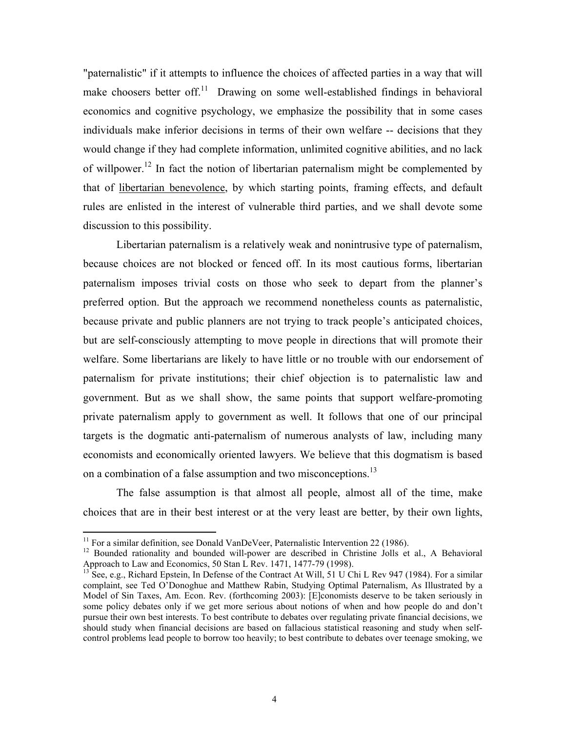<span id="page-5-2"></span>"paternalistic" if it attempts to influence the choices of affected parties in a way that will make choosers better off.<sup>11</sup> Drawing on some well-established findings in behavioral economics and cognitive psychology, we emphasize the possibility that in some cases individuals make inferior decisions in terms of their own welfare -- decisions that they would change if they had complete information, unlimited cognitive abilities, and no lack of willpower.<sup>12</sup> In fact the notion of libertarian paternalism might be complemented by that of libertarian benevolence, by which starting points, framing effects, and default rules are enlisted in the interest of vulnerable third parties, and we shall devote some discussion to this possibility.

Libertarian paternalism is a relatively weak and nonintrusive type of paternalism, because choices are not blocked or fenced off. In its most cautious forms, libertarian paternalism imposes trivial costs on those who seek to depart from the planner's preferred option. But the approach we recommend nonetheless counts as paternalistic, because private and public planners are not trying to track people's anticipated choices, but are self-consciously attempting to move people in directions that will promote their welfare. Some libertarians are likely to have little or no trouble with our endorsement of paternalism for private institutions; their chief objection is to paternalistic law and government. But as we shall show, the same points that support welfare-promoting private paternalism apply to government as well. It follows that one of our principal targets is the dogmatic anti-paternalism of numerous analysts of law, including many economists and economically oriented lawyers. We believe that this dogmatism is based on a combination of a false assumption and two misconceptions.<sup>13</sup>

The false assumption is that almost all people, almost all of the time, make choices that are in their best interest or at the very least are better, by their own lights,

<span id="page-5-0"></span> $11$  For a similar definition, see Donald VanDeVeer, Paternalistic Intervention 22 (1986).

<span id="page-5-1"></span><sup>&</sup>lt;sup>12</sup> Bounded rationality and bounded will-power are described in Christine Jolls et al., A Behavioral Approach to Law and Economics, 50 Stan L Rev. 1471, 1477-79 (1998).

<sup>&</sup>lt;sup>13</sup> See, e.g., Richard Epstein, In Defense of the Contract At Will, 51 U Chi L Rev 947 (1984). For a similar complaint, see Ted O'Donoghue and Matthew Rabin, Studying Optimal Paternalism, As Illustrated by a Model of Sin Taxes, Am. Econ. Rev. (forthcoming 2003): [E]conomists deserve to be taken seriously in some policy debates only if we get more serious about notions of when and how people do and don't pursue their own best interests. To best contribute to debates over regulating private financial decisions, we should study when financial decisions are based on fallacious statistical reasoning and study when selfcontrol problems lead people to borrow too heavily; to best contribute to debates over teenage smoking, we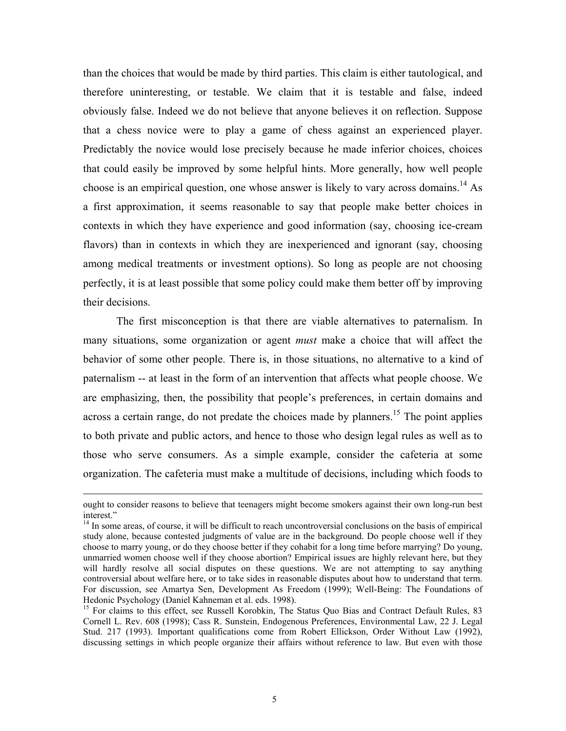<span id="page-6-1"></span>than the choices that would be made by third parties. This claim is either tautological, and therefore uninteresting, or testable. We claim that it is testable and false, indeed obviously false. Indeed we do not believe that anyone believes it on reflection. Suppose that a chess novice were to play a game of chess against an experienced player. Predictably the novice would lose precisely because he made inferior choices, choices that could easily be improved by some helpful hints. More generally, how well people choose is an empirical question, one whose answer is likely to vary across domains.<sup>14</sup> As a first approximation, it seems reasonable to say that people make better choices in contexts in which they have experience and good information (say, choosing ice-cream flavors) than in contexts in which they are inexperienced and ignorant (say, choosing among medical treatments or investment options). So long as people are not choosing perfectly, it is at least possible that some policy could make them better off by improving their decisions.

The first misconception is that there are viable alternatives to paternalism. In many situations, some organization or agent *must* make a choice that will affect the behavior of some other people. There is, in those situations, no alternative to a kind of paternalism -- at least in the form of an intervention that affects what people choose. We are emphasizing, then, the possibility that people's preferences, in certain domains and across a certain range, do not predate the choices made by planners.<sup>15</sup> The point applies to both private and public actors, and hence to those who design legal rules as well as to those who serve consumers. As a simple example, consider the cafeteria at some organization. The cafeteria must make a multitude of decisions, including which foods to

ought to consider reasons to believe that teenagers might become smokers against their own long-run best interest." 14 In some areas, of course, it will be difficult to reach uncontroversial conclusions on the basis of empirical

<span id="page-6-0"></span>study alone, because contested judgments of value are in the background. Do people choose well if they choose to marry young, or do they choose better if they cohabit for a long time before marrying? Do young, unmarried women choose well if they choose abortion? Empirical issues are highly relevant here, but they will hardly resolve all social disputes on these questions. We are not attempting to say anything controversial about welfare here, or to take sides in reasonable disputes about how to understand that term. For discussion, see Amartya Sen, Development As Freedom (1999); Well-Being: The Foundations of Hedonic Psychology (Daniel Kahneman et al. eds. 1998).<br><sup>15</sup> For claims to this effect, see Russell Korobkin, The Status Quo Bias and Contract Default Rules, 83

Cornell L. Rev. 608 (1998); Cass R. Sunstein, Endogenous Preferences, Environmental Law, 22 J. Legal Stud. 217 (1993). Important qualifications come from Robert Ellickson, Order Without Law (1992), discussing settings in which people organize their affairs without reference to law. But even with those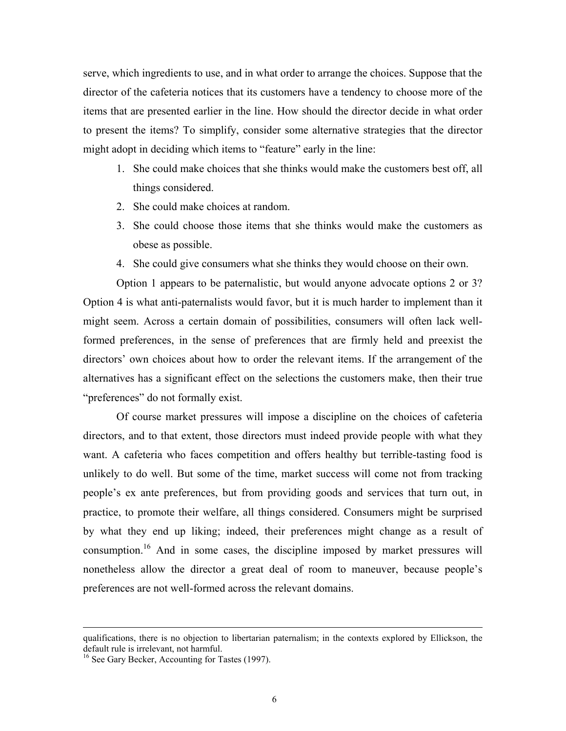serve, which ingredients to use, and in what order to arrange the choices. Suppose that the director of the cafeteria notices that its customers have a tendency to choose more of the items that are presented earlier in the line. How should the director decide in what order to present the items? To simplify, consider some alternative strategies that the director might adopt in deciding which items to "feature" early in the line:

- 1. She could make choices that she thinks would make the customers best off, all things considered.
- 2. She could make choices at random.
- 3. She could choose those items that she thinks would make the customers as obese as possible.
- 4. She could give consumers what she thinks they would choose on their own.

Option 1 appears to be paternalistic, but would anyone advocate options 2 or 3? Option 4 is what anti-paternalists would favor, but it is much harder to implement than it might seem. Across a certain domain of possibilities, consumers will often lack wellformed preferences, in the sense of preferences that are firmly held and preexist the directors' own choices about how to order the relevant items. If the arrangement of the alternatives has a significant effect on the selections the customers make, then their true "preferences" do not formally exist.

Of course market pressures will impose a discipline on the choices of cafeteria directors, and to that extent, those directors must indeed provide people with what they want. A cafeteria who faces competition and offers healthy but terrible-tasting food is unlikely to do well. But some of the time, market success will come not from tracking people's ex ante preferences, but from providing goods and services that turn out, in practice, to promote their welfare, all things considered. Consumers might be surprised by what they end up liking; indeed, their preferences might change as a result of consumption.[16](#page-7-0) And in some cases, the discipline imposed by market pressures will nonetheless allow the director a great deal of room to maneuver, because people's preferences are not well-formed across the relevant domains.

qualifications, there is no objection to libertarian paternalism; in the contexts explored by Ellickson, the default rule is irrelevant, not harmful.<br><sup>16</sup> See Gary Becker, Accounting for Tastes (1997).

<span id="page-7-0"></span>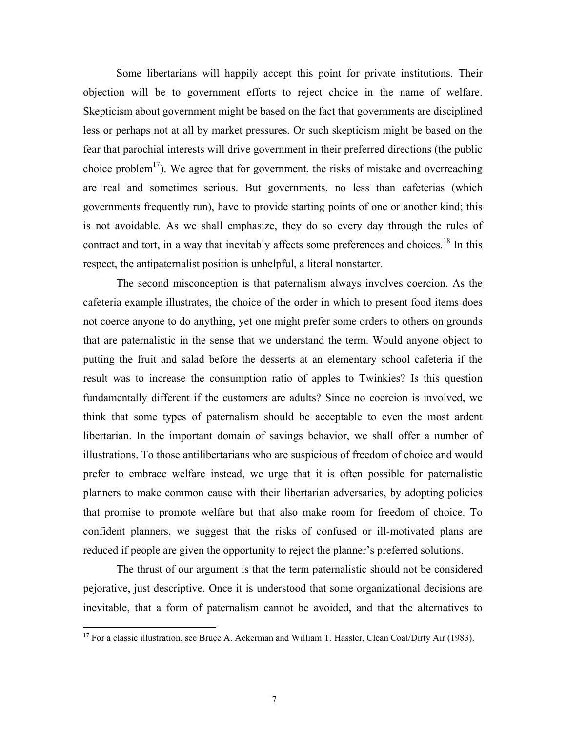Some libertarians will happily accept this point for private institutions. Their objection will be to government efforts to reject choice in the name of welfare. Skepticism about government might be based on the fact that governments are disciplined less or perhaps not at all by market pressures. Or such skepticism might be based on the fear that parochial interests will drive government in their preferred directions (the public choice problem<sup>17</sup>). We agree that for government, the risks of mistake and overreaching are real and sometimes serious. But governments, no less than cafeterias (which governments frequently run), have to provide starting points of one or another kind; this is not avoidable. As we shall emphasize, they do so every day through the rules of contract and tort, in a way that inevitably affects some preferences and choices.<sup>18</sup> In this respect, the antipaternalist position is unhelpful, a literal nonstarter.

The second misconception is that paternalism always involves coercion. As the cafeteria example illustrates, the choice of the order in which to present food items does not coerce anyone to do anything, yet one might prefer some orders to others on grounds that are paternalistic in the sense that we understand the term. Would anyone object to putting the fruit and salad before the desserts at an elementary school cafeteria if the result was to increase the consumption ratio of apples to Twinkies? Is this question fundamentally different if the customers are adults? Since no coercion is involved, we think that some types of paternalism should be acceptable to even the most ardent libertarian. In the important domain of savings behavior, we shall offer a number of illustrations. To those antilibertarians who are suspicious of freedom of choice and would prefer to embrace welfare instead, we urge that it is often possible for paternalistic planners to make common cause with their libertarian adversaries, by adopting policies that promise to promote welfare but that also make room for freedom of choice. To confident planners, we suggest that the risks of confused or ill-motivated plans are reduced if people are given the opportunity to reject the planner's preferred solutions.

The thrust of our argument is that the term paternalistic should not be considered pejorative, just descriptive. Once it is understood that some organizational decisions are inevitable, that a form of paternalism cannot be avoided, and that the alternatives to

<u>.</u>

<span id="page-8-1"></span><span id="page-8-0"></span> $17$  For a classic illustration, see Bruce A. Ackerman and William T. Hassler, Clean Coal/Dirty Air (1983).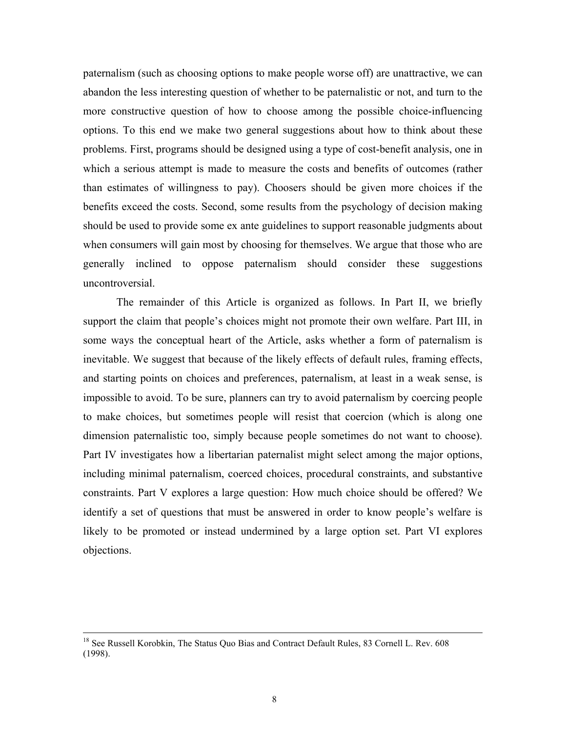paternalism (such as choosing options to make people worse off) are unattractive, we can abandon the less interesting question of whether to be paternalistic or not, and turn to the more constructive question of how to choose among the possible choice-influencing options. To this end we make two general suggestions about how to think about these problems. First, programs should be designed using a type of cost-benefit analysis, one in which a serious attempt is made to measure the costs and benefits of outcomes (rather than estimates of willingness to pay). Choosers should be given more choices if the benefits exceed the costs. Second, some results from the psychology of decision making should be used to provide some ex ante guidelines to support reasonable judgments about when consumers will gain most by choosing for themselves. We argue that those who are generally inclined to oppose paternalism should consider these suggestions uncontroversial.

The remainder of this Article is organized as follows. In Part II, we briefly support the claim that people's choices might not promote their own welfare. Part III, in some ways the conceptual heart of the Article, asks whether a form of paternalism is inevitable. We suggest that because of the likely effects of default rules, framing effects, and starting points on choices and preferences, paternalism, at least in a weak sense, is impossible to avoid. To be sure, planners can try to avoid paternalism by coercing people to make choices, but sometimes people will resist that coercion (which is along one dimension paternalistic too, simply because people sometimes do not want to choose). Part IV investigates how a libertarian paternalist might select among the major options, including minimal paternalism, coerced choices, procedural constraints, and substantive constraints. Part V explores a large question: How much choice should be offered? We identify a set of questions that must be answered in order to know people's welfare is likely to be promoted or instead undermined by a large option set. Part VI explores objections.

<sup>&</sup>lt;sup>18</sup> See Russell Korobkin, The Status Quo Bias and Contract Default Rules, 83 Cornell L. Rev. 608 (1998).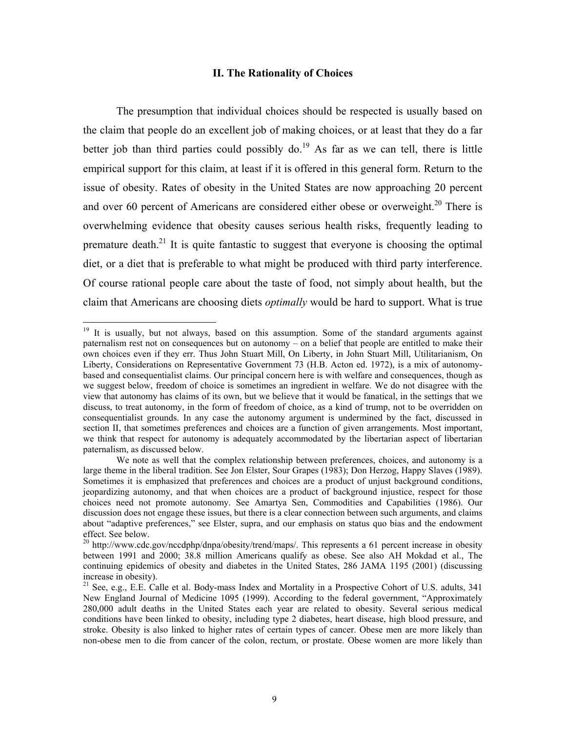#### **II. The Rationality of Choices**

<span id="page-10-2"></span>The presumption that individual choices should be respected is usually based on the claim that people do an excellent job of making choices, or at least that they do a far better job than third parties could possibly do.<sup>19</sup> As far as we can tell, there is little empirical support for this claim, at least if it is offered in this general form. Return to the issue of obesity. Rates of obesity in the United States are now approaching 20 percent and over 60 percent of Americans are considered either obese or overweight.<sup>20</sup> There is overwhelming evidence that obesity causes serious health risks, frequently leading to premature death.<sup>21</sup> It is quite fantastic to suggest that everyone is choosing the optimal diet, or a diet that is preferable to what might be produced with third party interference. Of course rational people care about the taste of food, not simply about health, but the claim that Americans are choosing diets *optimally* would be hard to support. What is true

1

<span id="page-10-0"></span><sup>&</sup>lt;sup>19</sup> It is usually, but not always, based on this assumption. Some of the standard arguments against paternalism rest not on consequences but on autonomy – on a belief that people are entitled to make their own choices even if they err. Thus John Stuart Mill, On Liberty, in John Stuart Mill, Utilitarianism, On Liberty, Considerations on Representative Government 73 (H.B. Acton ed. 1972), is a mix of autonomybased and consequentialist claims. Our principal concern here is with welfare and consequences, though as we suggest below, freedom of choice is sometimes an ingredient in welfare. We do not disagree with the view that autonomy has claims of its own, but we believe that it would be fanatical, in the settings that we discuss, to treat autonomy, in the form of freedom of choice, as a kind of trump, not to be overridden on consequentialist grounds. In any case the autonomy argument is undermined by the fact, discussed in section II, that sometimes preferences and choices are a function of given arrangements. Most important, we think that respect for autonomy is adequately accommodated by the libertarian aspect of libertarian paternalism, as discussed below.

We note as well that the complex relationship between preferences, choices, and autonomy is a large theme in the liberal tradition. See Jon Elster, Sour Grapes (1983); Don Herzog, Happy Slaves (1989). Sometimes it is emphasized that preferences and choices are a product of unjust background conditions, jeopardizing autonomy, and that when choices are a product of background injustice, respect for those choices need not promote autonomy. See Amartya Sen, Commodities and Capabilities (1986). Our discussion does not engage these issues, but there is a clear connection between such arguments, and claims about "adaptive preferences," see Elster, supra, and our emphasis on status quo bias and the endowment effect. See below.

<span id="page-10-1"></span><sup>&</sup>lt;sup>20</sup> http://www.cdc.gov/nccdphp/dnpa/obesity/trend/maps/. This represents a 61 percent increase in obesity between 1991 and 2000; 38.8 million Americans qualify as obese. See also AH Mokdad et al., The continuing epidemics of obesity and diabetes in the United States, 286 JAMA 1195 (2001) (discussing increase in obesity).

<sup>&</sup>lt;sup>21</sup> See, e.g., E.E. Calle et al. Body-mass Index and Mortality in a Prospective Cohort of U.S. adults, 341 New England Journal of Medicine 1095 (1999). According to the federal government, "Approximately 280,000 adult deaths in the United States each year are related to obesity. Several serious medical conditions have been linked to obesity, including type 2 diabetes, heart disease, high blood pressure, and stroke. Obesity is also linked to higher rates of certain types of cancer. Obese men are more likely than non-obese men to die from cancer of the colon, rectum, or prostate. Obese women are more likely than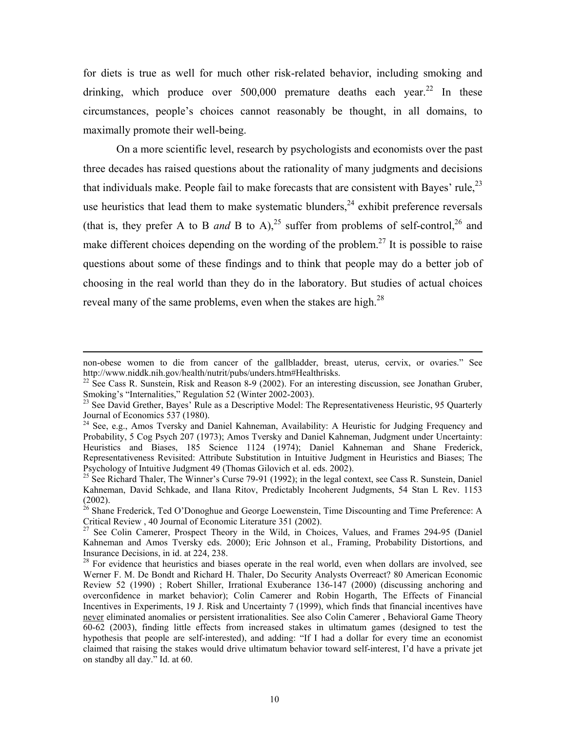for diets is true as well for much other risk-related behavior, including smoking and drinking, which produce over  $500,000$  premature deaths each year.<sup>22</sup> In these circumstances, people's choices cannot reasonably be thought, in all domains, to maximally promote their well-being.

On a more scientific level, research by psychologists and economists over the past three decades has raised questions about the rationality of many judgments and decisions that individuals make. People fail to make forecasts that are consistent with Bayes' rule,  $^{23}$ use heuristics that lead them to make systematic blunders,  $24$  exhibit preference reversals (that is, they prefer A to B *and* B to A),<sup>25</sup> suffer from problems of self-control,<sup>26</sup> and make different choices depending on the wording of the problem.<sup>27</sup> It is possible to raise questions about some of these findings and to think that people may do a better job of choosing in the real world than they do in the laboratory. But studies of actual choices reveal many of the same problems, even when the stakes are high.<sup>[28](#page-11-6)</sup>

non-obese women to die from cancer of the gallbladder, breast, uterus, cervix, or ovaries." See http://www.niddk.nih.gov/health/nutrit/pubs/unders.htm#Healthrisks.<br><sup>22</sup> See Cass R. Sunstein, Risk and Reason 8-9 (2002). For an interesting discussion, see Jonathan Gruber,

<span id="page-11-0"></span>Smoking's "Internalities," Regulation 52 (Winter 2002-2003).<br><sup>23</sup> See David Grether, Bayes' Rule as a Descriptive Model: The Representativeness Heuristic, 95 Quarterly

<span id="page-11-1"></span>Journal of Economics 537 (1980).<br><sup>24</sup> See, e.g., Amos Tversky and Daniel Kahneman, Availability: A Heuristic for Judging Frequency and

<span id="page-11-2"></span>Probability, 5 Cog Psych 207 (1973); Amos Tversky and Daniel Kahneman, Judgment under Uncertainty: Heuristics and Biases, 185 Science 1124 (1974); Daniel Kahneman and Shane Frederick, Representativeness Revisited: Attribute Substitution in Intuitive Judgment in Heuristics and Biases; The Psychology of Intuitive Judgment 49 (Thomas Gilovich et al. eds. 2002).

<span id="page-11-3"></span><sup>&</sup>lt;sup>25</sup> See Richard Thaler, The Winner's Curse 79-91 (1992); in the legal context, see Cass R. Sunstein, Daniel Kahneman, David Schkade, and Ilana Ritov, Predictably Incoherent Judgments, 54 Stan L Rev. 1153 (2002).

<span id="page-11-4"></span> $^{26}$  Shane Frederick, Ted O'Donoghue and George Loewenstein, Time Discounting and Time Preference: A Critical Review , 40 Journal of Economic Literature 351 (2002). 27 See Colin Camerer, Prospect Theory in the Wild, in Choices, Values, and Frames 294-95 (Daniel

<span id="page-11-5"></span>Kahneman and Amos Tversky eds. 2000); Eric Johnson et al., Framing, Probability Distortions, and Insurance Decisions, in id. at 224, 238.<br><sup>28</sup> For evidence that heuristics and biases operate in the real world, even when dollars are involved, see

<span id="page-11-6"></span>Werner F. M. De Bondt and Richard H. Thaler, Do Security Analysts Overreact? 80 American Economic Review 52 (1990) ; Robert Shiller, Irrational Exuberance 136-147 (2000) (discussing anchoring and overconfidence in market behavior); Colin Camerer and Robin Hogarth, The Effects of Financial Incentives in Experiments, 19 J. Risk and Uncertainty 7 (1999), which finds that financial incentives have never eliminated anomalies or persistent irrationalities. See also Colin Camerer , Behavioral Game Theory 60-62 (2003), finding little effects from increased stakes in ultimatum games (designed to test the hypothesis that people are self-interested), and adding: "If I had a dollar for every time an economist claimed that raising the stakes would drive ultimatum behavior toward self-interest, I'd have a private jet on standby all day." Id. at 60.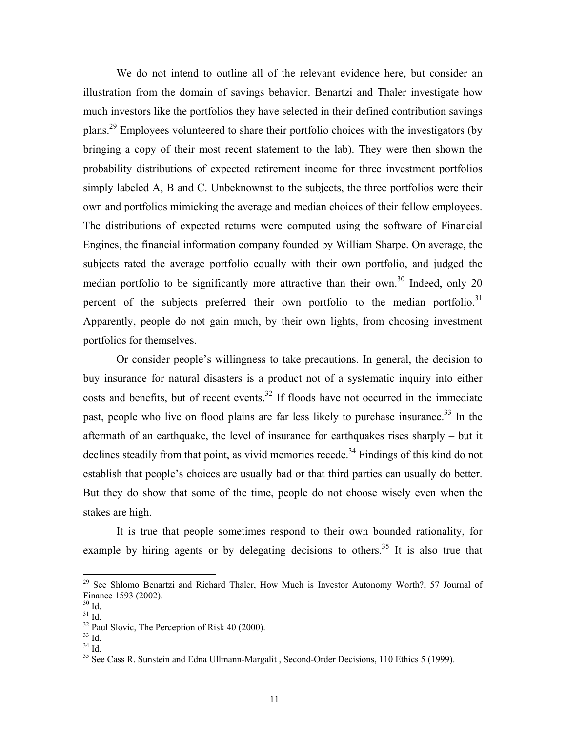We do not intend to outline all of the relevant evidence here, but consider an illustration from the domain of savings behavior. Benartzi and Thaler investigate how much investors like the portfolios they have selected in their defined contribution savings plans.<sup>29</sup> Employees volunteered to share their portfolio choices with the investigators (by bringing a copy of their most recent statement to the lab). They were then shown the probability distributions of expected retirement income for three investment portfolios simply labeled A, B and C. Unbeknownst to the subjects, the three portfolios were their own and portfolios mimicking the average and median choices of their fellow employees. The distributions of expected returns were computed using the software of Financial Engines, the financial information company founded by William Sharpe. On average, the subjects rated the average portfolio equally with their own portfolio, and judged the median portfolio to be significantly more attractive than their own.<sup>30</sup> Indeed, only 20 percent of the subjects preferred their own portfolio to the median portfolio.<sup>31</sup> Apparently, people do not gain much, by their own lights, from choosing investment portfolios for themselves.

Or consider people's willingness to take precautions. In general, the decision to buy insurance for natural disasters is a product not of a systematic inquiry into either costs and benefits, but of recent events.<sup>32</sup> If floods have not occurred in the immediate past, people who live on flood plains are far less likely to purchase insurance.<sup>33</sup> In the aftermath of an earthquake, the level of insurance for earthquakes rises sharply – but it declines steadily from that point, as vivid memories recede.<sup>34</sup> Findings of this kind do not establish that people's choices are usually bad or that third parties can usually do better. But they do show that some of the time, people do not choose wisely even when the stakes are high.

It is true that people sometimes respond to their own bounded rationality, for example by hiring agents or by delegating decisions to others.<sup>35</sup> It is also true that

<span id="page-12-0"></span><sup>&</sup>lt;sup>29</sup> See Shlomo Benartzi and Richard Thaler, How Much is Investor Autonomy Worth?, 57 Journal of Finance 1593 (2002).<br><sup>30</sup> Id.

<span id="page-12-1"></span>

<span id="page-12-2"></span> $31$  Id.

<span id="page-12-3"></span> $\frac{32}{32}$  Paul Slovic, The Perception of Risk 40 (2000).<br> $\frac{33}{1d}$ 

<span id="page-12-4"></span>

<span id="page-12-5"></span> $34 \overline{1d}$ .

<span id="page-12-6"></span><sup>&</sup>lt;sup>35</sup> See Cass R. Sunstein and Edna Ullmann-Margalit, Second-Order Decisions, 110 Ethics 5 (1999).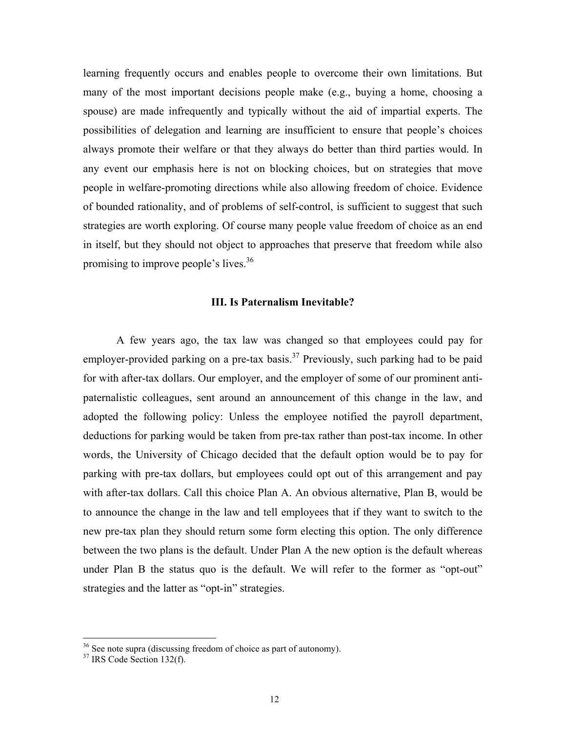learning frequently occurs and enables people to overcome their own limitations. But many of the most important decisions people make (e.g., buying a home, choosing a spouse) are made infrequently and typically without the aid of impartial experts. The possibilities of delegation and learning are insufficient to ensure that people's choices always promote their welfare or that they always do better than third parties would. In any event our emphasis here is not on blocking choices, but on strategies that move people in welfare-promoting directions while also allowing freedom of choice. Evidence of bounded rationality, and of problems of self-control, is sufficient to suggest that such strategies are worth exploring. Of course many people value freedom of choice as an end in itself, but they should not object to approaches that preserve that freedom while also promising to improve people's lives.<sup>[36](#page-13-0)</sup>

#### **III. Is Paternalism Inevitable?**

A few years ago, the tax law was changed so that employees could pay for employer-provided parking on a pre-tax basis.<sup>37</sup> Previously, such parking had to be paid for with after-tax dollars. Our employer, and the employer of some of our prominent antipaternalistic colleagues, sent around an announcement of this change in the law, and adopted the following policy: Unless the employee notified the payroll department, deductions for parking would be taken from pre-tax rather than post-tax income. In other words, the University of Chicago decided that the default option would be to pay for parking with pre-tax dollars, but employees could opt out of this arrangement and pay with after-tax dollars. Call this choice Plan A. An obvious alternative, Plan B, would be to announce the change in the law and tell employees that if they want to switch to the new pre-tax plan they should return some form electing this option. The only difference between the two plans is the default. Under Plan A the new option is the default whereas under Plan B the status quo is the default. We will refer to the former as "opt-out" strategies and the latter as "opt-in" strategies.

1

<span id="page-13-0"></span><sup>&</sup>lt;sup>36</sup> See note supra (discussing freedom of choice as part of autonomy).<br><sup>37</sup> IRS Code Section 132(f).

<span id="page-13-1"></span>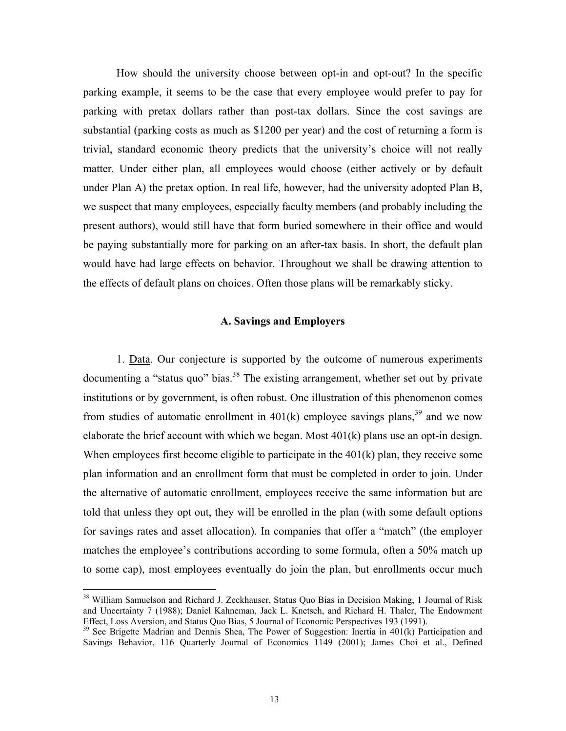<span id="page-14-1"></span>How should the university choose between opt-in and opt-out? In the specific parking example, it seems to be the case that every employee would prefer to pay for parking with pretax dollars rather than post-tax dollars. Since the cost savings are substantial (parking costs as much as \$1200 per year) and the cost of returning a form is trivial, standard economic theory predicts that the university's choice will not really matter. Under either plan, all employees would choose (either actively or by default under Plan A) the pretax option. In real life, however, had the university adopted Plan B, we suspect that many employees, especially faculty members (and probably including the present authors), would still have that form buried somewhere in their office and would be paying substantially more for parking on an after-tax basis. In short, the default plan would have had large effects on behavior. Throughout we shall be drawing attention to the effects of default plans on choices. Often those plans will be remarkably sticky.

#### **A. Savings and Employers**

1. Data. Our conjecture is supported by the outcome of numerous experiments documenting a "status quo" bias.<sup>38</sup> The existing arrangement, whether set out by private institutions or by government, is often robust. One illustration of this phenomenon comes from studies of automatic enrollment in  $401(k)$  employee savings plans,<sup>39</sup> and we now elaborate the brief account with which we began. Most 401(k) plans use an opt-in design. When employees first become eligible to participate in the 401(k) plan, they receive some plan information and an enrollment form that must be completed in order to join. Under the alternative of automatic enrollment, employees receive the same information but are told that unless they opt out, they will be enrolled in the plan (with some default options for savings rates and asset allocation). In companies that offer a "match" (the employer matches the employee's contributions according to some formula, often a 50% match up to some cap), most employees eventually do join the plan, but enrollments occur much

<span id="page-14-0"></span><sup>&</sup>lt;sup>38</sup> William Samuelson and Richard J. Zeckhauser, Status Quo Bias in Decision Making, 1 Journal of Risk and Uncertainty 7 (1988); Daniel Kahneman, Jack L. Knetsch, and Richard H. Thaler, The Endowment Effect, Loss Aversion, and Status Quo Bias, 5 Journal of Economic Perspectives 193 (1991).

<sup>&</sup>lt;sup>39</sup> See Brigette Madrian and Dennis Shea, The Power of Suggestion: Inertia in 401(k) Participation and Savings Behavior, 116 Quarterly Journal of Economics 1149 (2001); James Choi et al., Defined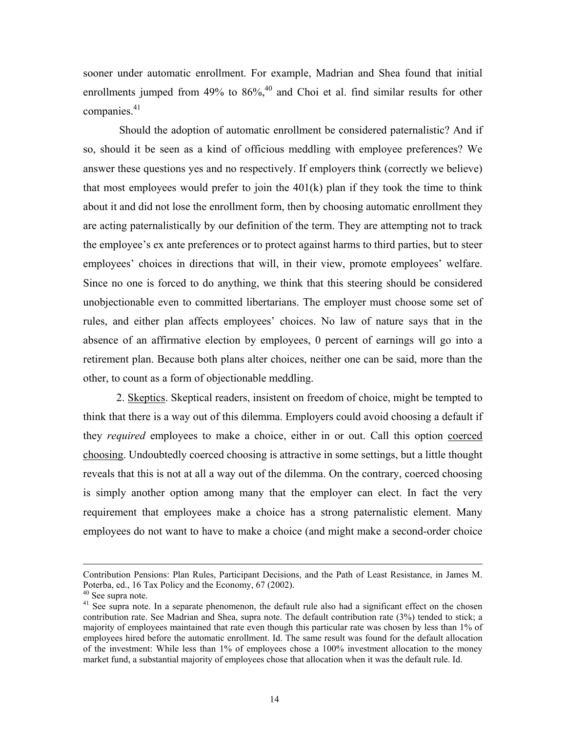sooner under automatic enrollment. For example, Madrian and Shea found that initial enrollments jumped from  $49\%$  to  $86\%$ ,  $40$  and Choi et al. find similar results for other companies.<sup>41</sup>

Should the adoption of automatic enrollment be considered paternalistic? And if so, should it be seen as a kind of officious meddling with employee preferences? We answer these questions yes and no respectively. If employers think (correctly we believe) that most employees would prefer to join the  $401(k)$  plan if they took the time to think about it and did not lose the enrollment form, then by choosing automatic enrollment they are acting paternalistically by our definition of the term. They are attempting not to track the employee's ex ante preferences or to protect against harms to third parties, but to steer employees' choices in directions that will, in their view, promote employees' welfare. Since no one is forced to do anything, we think that this steering should be considered unobjectionable even to committed libertarians. The employer must choose some set of rules, and either plan affects employees' choices. No law of nature says that in the absence of an affirmative election by employees, 0 percent of earnings will go into a retirement plan. Because both plans alter choices, neither one can be said, more than the other, to count as a form of objectionable meddling.

2. Skeptics. Skeptical readers, insistent on freedom of choice, might be tempted to think that there is a way out of this dilemma. Employers could avoid choosing a default if they *required* employees to make a choice, either in or out. Call this option coerced choosing. Undoubtedly coerced choosing is attractive in some settings, but a little thought reveals that this is not at all a way out of the dilemma. On the contrary, coerced choosing is simply another option among many that the employer can elect. In fact the very requirement that employees make a choice has a strong paternalistic element. Many employees do not want to have to make a choice (and might make a second-order choice

Contribution Pensions: Plan Rules, Participant Decisions, and the Path of Least Resistance, in James M. Poterba, ed., 16 Tax Policy and the Economy, 67 (2002).<br><sup>40</sup> See supra note.

<span id="page-15-0"></span>

<span id="page-15-1"></span><sup>&</sup>lt;sup>41</sup> See supra note. In a separate phenomenon, the default rule also had a significant effect on the chosen contribution rate. See Madrian and Shea, supra note. The default contribution rate (3%) tended to stick; a majority of employees maintained that rate even though this particular rate was chosen by less than 1% of employees hired before the automatic enrollment. Id. The same result was found for the default allocation of the investment: While less than 1% of employees chose a 100% investment allocation to the money market fund, a substantial majority of employees chose that allocation when it was the default rule. Id.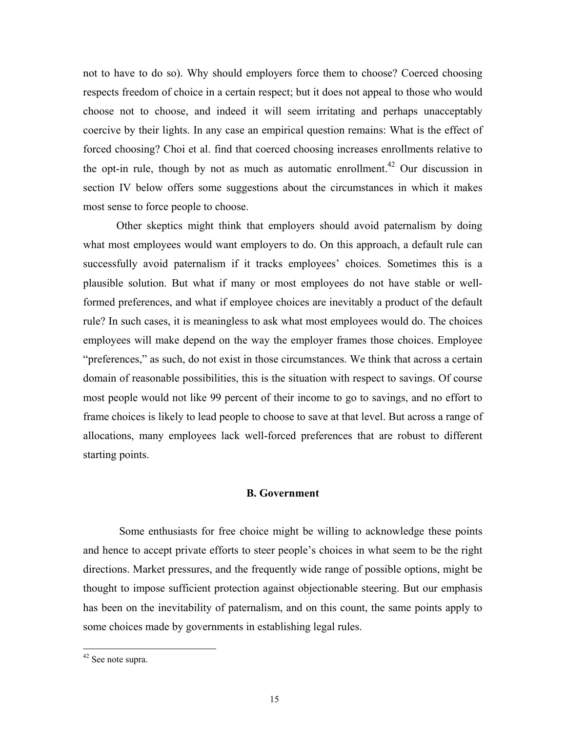not to have to do so). Why should employers force them to choose? Coerced choosing respects freedom of choice in a certain respect; but it does not appeal to those who would choose not to choose, and indeed it will seem irritating and perhaps unacceptably coercive by their lights. In any case an empirical question remains: What is the effect of forced choosing? Choi et al. find that coerced choosing increases enrollments relative to the opt-in rule, though by not as much as automatic enrollment.<sup>42</sup> Our discussion in section IV below offers some suggestions about the circumstances in which it makes most sense to force people to choose.

Other skeptics might think that employers should avoid paternalism by doing what most employees would want employers to do. On this approach, a default rule can successfully avoid paternalism if it tracks employees' choices. Sometimes this is a plausible solution. But what if many or most employees do not have stable or wellformed preferences, and what if employee choices are inevitably a product of the default rule? In such cases, it is meaningless to ask what most employees would do. The choices employees will make depend on the way the employer frames those choices. Employee "preferences," as such, do not exist in those circumstances. We think that across a certain domain of reasonable possibilities, this is the situation with respect to savings. Of course most people would not like 99 percent of their income to go to savings, and no effort to frame choices is likely to lead people to choose to save at that level. But across a range of allocations, many employees lack well-forced preferences that are robust to different starting points.

#### **B. Government**

Some enthusiasts for free choice might be willing to acknowledge these points and hence to accept private efforts to steer people's choices in what seem to be the right directions. Market pressures, and the frequently wide range of possible options, might be thought to impose sufficient protection against objectionable steering. But our emphasis has been on the inevitability of paternalism, and on this count, the same points apply to some choices made by governments in establishing legal rules.

<span id="page-16-0"></span><sup>&</sup>lt;sup>42</sup> See note supra.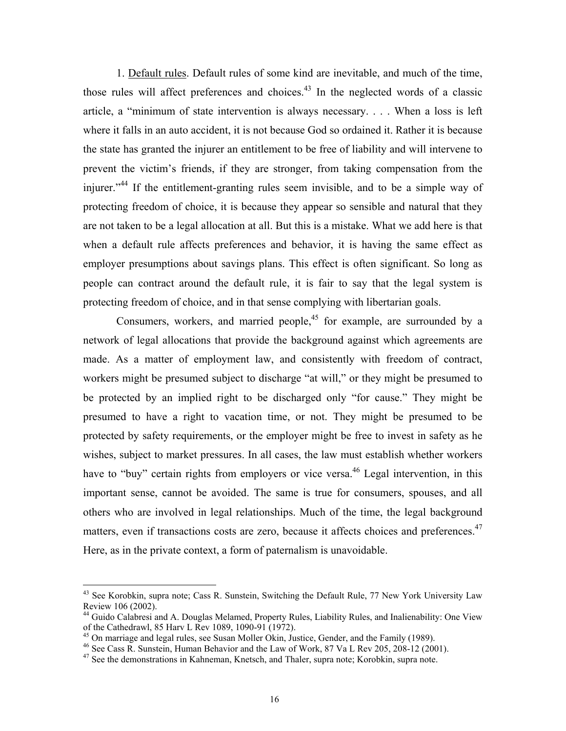1. Default rules. Default rules of some kind are inevitable, and much of the time, those rules will affect preferences and choices.<sup>43</sup> In the neglected words of a classic article, a "minimum of state intervention is always necessary. . . . When a loss is left where it falls in an auto accident, it is not because God so ordained it. Rather it is because the state has granted the injurer an entitlement to be free of liability and will intervene to prevent the victim's friends, if they are stronger, from taking compensation from the injurer."<sup>44</sup> If the entitlement-granting rules seem invisible, and to be a simple way of protecting freedom of choice, it is because they appear so sensible and natural that they are not taken to be a legal allocation at all. But this is a mistake. What we add here is that when a default rule affects preferences and behavior, it is having the same effect as employer presumptions about savings plans. This effect is often significant. So long as people can contract around the default rule, it is fair to say that the legal system is protecting freedom of choice, and in that sense complying with libertarian goals.

Consumers, workers, and married people,<sup>45</sup> for example, are surrounded by a network of legal allocations that provide the background against which agreements are made. As a matter of employment law, and consistently with freedom of contract, workers might be presumed subject to discharge "at will," or they might be presumed to be protected by an implied right to be discharged only "for cause." They might be presumed to have a right to vacation time, or not. They might be presumed to be protected by safety requirements, or the employer might be free to invest in safety as he wishes, subject to market pressures. In all cases, the law must establish whether workers have to "buy" certain rights from employers or vice versa.<sup>46</sup> Legal intervention, in this important sense, cannot be avoided. The same is true for consumers, spouses, and all others who are involved in legal relationships. Much of the time, the legal background matters, even if transactions costs are zero, because it affects choices and preferences.<sup>47</sup> Here, as in the private context, a form of paternalism is unavoidable.

1

<span id="page-17-0"></span><sup>&</sup>lt;sup>43</sup> See Korobkin, supra note; Cass R. Sunstein, Switching the Default Rule, 77 New York University Law

<span id="page-17-1"></span>Review 106 (2002).<br><sup>44</sup> Guido Calabresi and A. Douglas Melamed, Property Rules, Liability Rules, and Inalienability: One View<br>of the Cathedrawl, 85 Harv L Rev 1089, 1090-91 (1972).

<span id="page-17-3"></span><span id="page-17-2"></span>

<sup>&</sup>lt;sup>45</sup> On marriage and legal rules, see Susan Moller Okin, Justice, Gender, and the Family (1989).<br><sup>46</sup> See Cass R. Sunstein, Human Behavior and the Law of Work, 87 Va L Rev 205, 208-12 (2001).<br><sup>47</sup> See the demonstrations i

<span id="page-17-4"></span>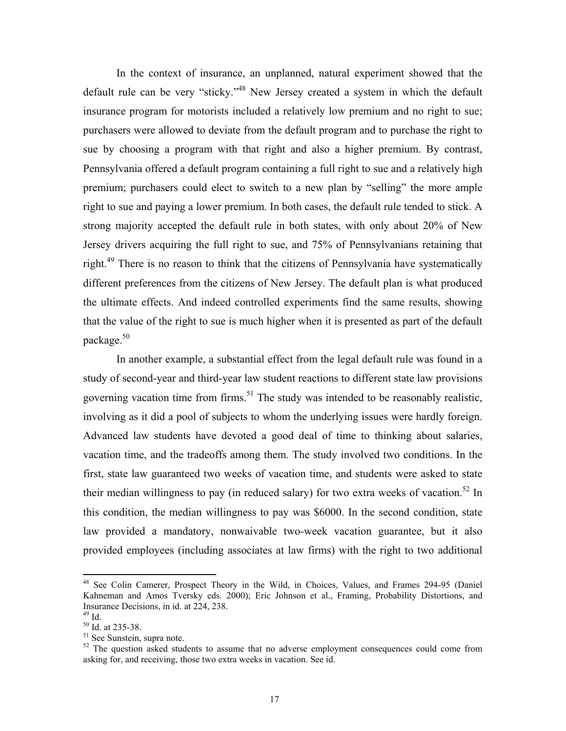In the context of insurance, an unplanned, natural experiment showed that the default rule can be very "sticky."<sup>48</sup> New Jersey created a system in which the default insurance program for motorists included a relatively low premium and no right to sue; purchasers were allowed to deviate from the default program and to purchase the right to sue by choosing a program with that right and also a higher premium. By contrast, Pennsylvania offered a default program containing a full right to sue and a relatively high premium; purchasers could elect to switch to a new plan by "selling" the more ample right to sue and paying a lower premium. In both cases, the default rule tended to stick. A strong majority accepted the default rule in both states, with only about 20% of New Jersey drivers acquiring the full right to sue, and 75% of Pennsylvanians retaining that right.[49](#page-18-1) There is no reason to think that the citizens of Pennsylvania have systematically different preferences from the citizens of New Jersey. The default plan is what produced the ultimate effects. And indeed controlled experiments find the same results, showing that the value of the right to sue is much higher when it is presented as part of the default package[.50](#page-18-2) 

In another example, a substantial effect from the legal default rule was found in a study of second-year and third-year law student reactions to different state law provisions governing vacation time from firms.<sup>51</sup> The study was intended to be reasonably realistic, involving as it did a pool of subjects to whom the underlying issues were hardly foreign. Advanced law students have devoted a good deal of time to thinking about salaries, vacation time, and the tradeoffs among them. The study involved two conditions. In the first, state law guaranteed two weeks of vacation time, and students were asked to state their median willingness to pay (in reduced salary) for two extra weeks of vacation.<sup>52</sup> In this condition, the median willingness to pay was \$6000. In the second condition, state law provided a mandatory, nonwaivable two-week vacation guarantee, but it also provided employees (including associates at law firms) with the right to two additional

1

<span id="page-18-0"></span><sup>48</sup> See Colin Camerer, Prospect Theory in the Wild, in Choices, Values, and Frames 294-95 (Daniel Kahneman and Amos Tversky eds. 2000); Eric Johnson et al., Framing, Probability Distortions, and Insurance Decisions, in id. at  $224$ , 238.<br><sup>49</sup> Id. at 235-38.

<span id="page-18-1"></span>

<span id="page-18-2"></span>

<span id="page-18-4"></span><span id="page-18-3"></span>

 $51$  See Sunstein, supra note.<br> $52$  The question asked students to assume that no adverse employment consequences could come from asking for, and receiving, those two extra weeks in vacation. See id.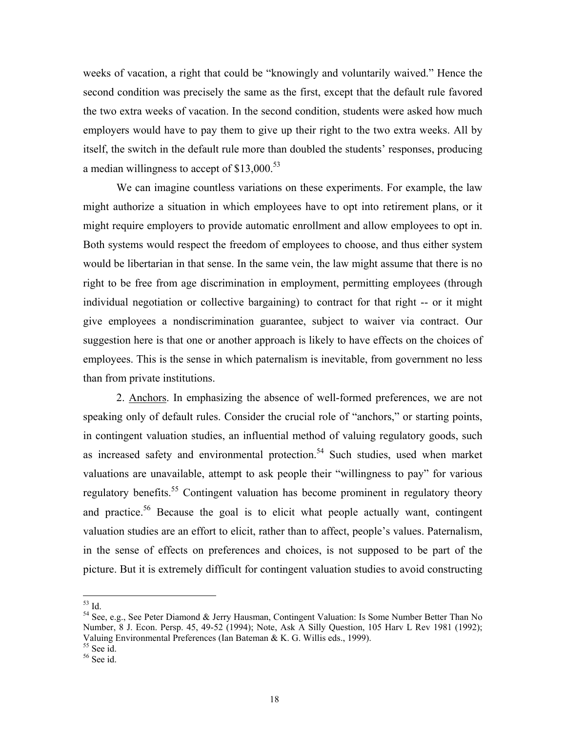weeks of vacation, a right that could be "knowingly and voluntarily waived." Hence the second condition was precisely the same as the first, except that the default rule favored the two extra weeks of vacation. In the second condition, students were asked how much employers would have to pay them to give up their right to the two extra weeks. All by itself, the switch in the default rule more than doubled the students' responses, producing a median willingness to accept of  $$13,000$ .<sup>53</sup>

We can imagine countless variations on these experiments. For example, the law might authorize a situation in which employees have to opt into retirement plans, or it might require employers to provide automatic enrollment and allow employees to opt in. Both systems would respect the freedom of employees to choose, and thus either system would be libertarian in that sense. In the same vein, the law might assume that there is no right to be free from age discrimination in employment, permitting employees (through individual negotiation or collective bargaining) to contract for that right -- or it might give employees a nondiscrimination guarantee, subject to waiver via contract. Our suggestion here is that one or another approach is likely to have effects on the choices of employees. This is the sense in which paternalism is inevitable, from government no less than from private institutions.

2. Anchors. In emphasizing the absence of well-formed preferences, we are not speaking only of default rules. Consider the crucial role of "anchors," or starting points, in contingent valuation studies, an influential method of valuing regulatory goods, such as increased safety and environmental protection.<sup>54</sup> Such studies, used when market valuations are unavailable, attempt to ask people their "willingness to pay" for various regulatory benefits.<sup>55</sup> Contingent valuation has become prominent in regulatory theory and practice.<sup>56</sup> Because the goal is to elicit what people actually want, contingent valuation studies are an effort to elicit, rather than to affect, people's values. Paternalism, in the sense of effects on preferences and choices, is not supposed to be part of the picture. But it is extremely difficult for contingent valuation studies to avoid constructing

<span id="page-19-2"></span>

<span id="page-19-0"></span><sup>&</sup>lt;u>.</u> 53 Id.

<span id="page-19-1"></span><sup>54</sup> See, e.g., See Peter Diamond & Jerry Hausman, Contingent Valuation: Is Some Number Better Than No Number, 8 J. Econ. Persp. 45, 49-52 (1994); Note, Ask A Silly Question, 105 Harv L Rev 1981 (1992); Valuing Environmental Preferences (Ian Bateman & K. G. Willis eds., 1999).<sup>55</sup> See id.

<span id="page-19-3"></span><sup>56</sup> See id.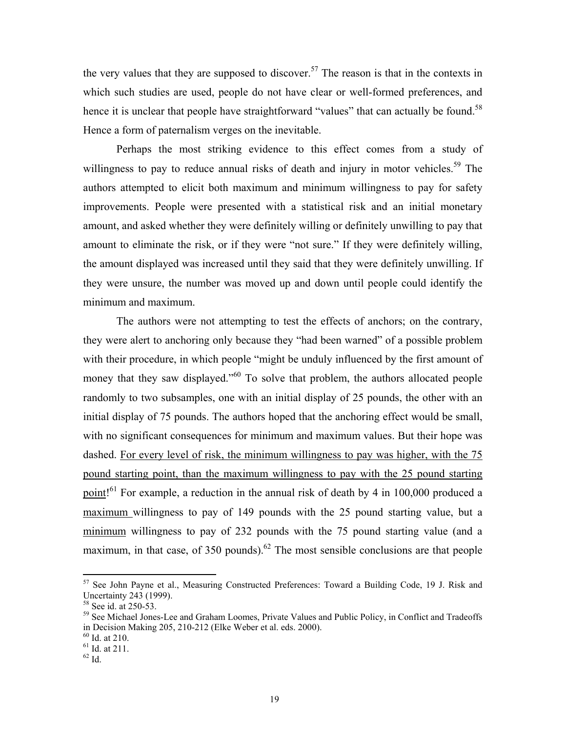the very values that they are supposed to discover.<sup>57</sup> The reason is that in the contexts in which such studies are used, people do not have clear or well-formed preferences, and hence it is unclear that people have straightforward "values" that can actually be found.<sup>58</sup> Hence a form of paternalism verges on the inevitable.

Perhaps the most striking evidence to this effect comes from a study of willingness to pay to reduce annual risks of death and injury in motor vehicles.<sup>59</sup> The authors attempted to elicit both maximum and minimum willingness to pay for safety improvements. People were presented with a statistical risk and an initial monetary amount, and asked whether they were definitely willing or definitely unwilling to pay that amount to eliminate the risk, or if they were "not sure." If they were definitely willing, the amount displayed was increased until they said that they were definitely unwilling. If they were unsure, the number was moved up and down until people could identify the minimum and maximum.

The authors were not attempting to test the effects of anchors; on the contrary, they were alert to anchoring only because they "had been warned" of a possible problem with their procedure, in which people "might be unduly influenced by the first amount of money that they saw displayed."<sup>60</sup> To solve that problem, the authors allocated people randomly to two subsamples, one with an initial display of 25 pounds, the other with an initial display of 75 pounds. The authors hoped that the anchoring effect would be small, with no significant consequences for minimum and maximum values. But their hope was dashed. For every level of risk, the minimum willingness to pay was higher, with the 75 pound starting point, than the maximum willingness to pay with the 25 pound starting point!<sup>61</sup> For example, a reduction in the annual risk of death by 4 in 100,000 produced a maximum willingness to pay of 149 pounds with the 25 pound starting value, but a minimum willingness to pay of 232 pounds with the 75 pound starting value (and a maximum, in that case, of 350 pounds).<sup>62</sup> The most sensible conclusions are that people

<span id="page-20-0"></span><sup>&</sup>lt;sup>57</sup> See John Payne et al., Measuring Constructed Preferences: Toward a Building Code, 19 J. Risk and Uncertainty 243 (1999).<br><sup>58</sup> See id. at 250-53.<br><sup>59</sup> See Michael Jones-Lee and Graham Loomes, Private Values and Public Policy, in Conflict and Tradeoffs

<span id="page-20-1"></span>

<span id="page-20-2"></span>in Decision Making 205, 210-212 (Elke Weber et al. eds. 2000).<br>
<sup>60</sup> Id. at 210.<br>
<sup>61</sup> Id. at 211.<br>
<sup>62</sup> Id.

<span id="page-20-3"></span>

<span id="page-20-4"></span>

<span id="page-20-5"></span>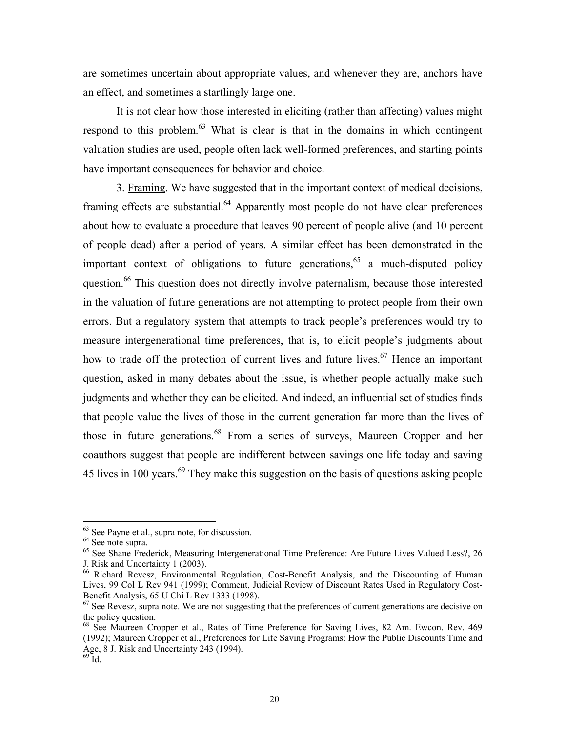are sometimes uncertain about appropriate values, and whenever they are, anchors have an effect, and sometimes a startlingly large one.

It is not clear how those interested in eliciting (rather than affecting) values might respond to this problem.<sup>63</sup> What is clear is that in the domains in which contingent valuation studies are used, people often lack well-formed preferences, and starting points have important consequences for behavior and choice.

3. Framing. We have suggested that in the important context of medical decisions, framing effects are substantial.<sup>64</sup> Apparently most people do not have clear preferences about how to evaluate a procedure that leaves 90 percent of people alive (and 10 percent of people dead) after a period of years. A similar effect has been demonstrated in the important context of obligations to future generations,  $65$  a much-disputed policy question.<sup>66</sup> This question does not directly involve paternalism, because those interested in the valuation of future generations are not attempting to protect people from their own errors. But a regulatory system that attempts to track people's preferences would try to measure intergenerational time preferences, that is, to elicit people's judgments about how to trade off the protection of current lives and future lives.<sup>67</sup> Hence an important question, asked in many debates about the issue, is whether people actually make such judgments and whether they can be elicited. And indeed, an influential set of studies finds that people value the lives of those in the current generation far more than the lives of those in future generations.<sup>68</sup> From a series of surveys, Maureen Cropper and her coauthors suggest that people are indifferent between savings one life today and saving 45 lives in 100 years.<sup>69</sup> They make this suggestion on the basis of questions asking people

1

<span id="page-21-0"></span><sup>&</sup>lt;sup>63</sup> See Payne et al., supra note, for discussion.

<span id="page-21-1"></span><sup>64</sup> See note supra.

<span id="page-21-2"></span> $65$  See Shane Frederick, Measuring Intergenerational Time Preference: Are Future Lives Valued Less?, 26 J. Risk and Uncertainty 1 (2003).

<span id="page-21-3"></span><sup>&</sup>lt;sup>66</sup> Richard Revesz, Environmental Regulation, Cost-Benefit Analysis, and the Discounting of Human Lives, 99 Col L Rev 941 (1999); Comment, Judicial Review of Discount Rates Used in Regulatory Cost-

<span id="page-21-4"></span> $67$  See Revesz, supra note. We are not suggesting that the preferences of current generations are decisive on the policy question.

<span id="page-21-5"></span> $68$  See Maureen Cropper et al., Rates of Time Preference for Saving Lives, 82 Am. Ewcon. Rev. 469 (1992); Maureen Cropper et al., Preferences for Life Saving Programs: How the Public Discounts Time and Age, 8 J. Risk and Uncertainty 243 (1994).<br><sup>69</sup> Id.

<span id="page-21-6"></span>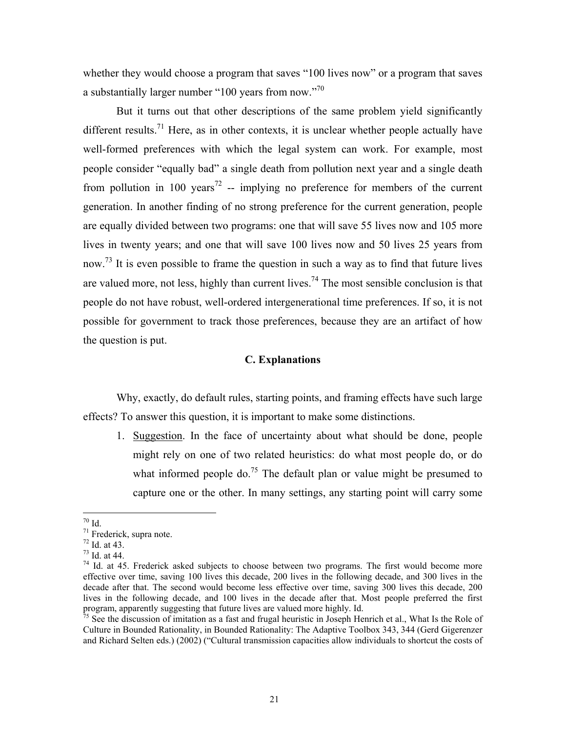<span id="page-22-5"></span>whether they would choose a program that saves "100 lives now" or a program that saves a substantially larger number "100 years from now."[70](#page-22-0) 

But it turns out that other descriptions of the same problem yield significantly different results.<sup>71</sup> Here, as in other contexts, it is unclear whether people actually have well-formed preferences with which the legal system can work. For example, most people consider "equally bad" a single death from pollution next year and a single death from pollution in 100 years<sup>72</sup> -- implying no preference for members of the current generation. In another finding of no strong preference for the current generation, people are equally divided between two programs: one that will save 55 lives now and 105 more lives in twenty years; and one that will save 100 lives now and 50 lives 25 years from now.<sup>73</sup> It is even possible to frame the question in such a way as to find that future lives are valued more, not less, highly than current lives.<sup>74</sup> The most sensible conclusion is that people do not have robust, well-ordered intergenerational time preferences. If so, it is not possible for government to track those preferences, because they are an artifact of how the question is put.

#### **C. Explanations**

Why, exactly, do default rules, starting points, and framing effects have such large effects? To answer this question, it is important to make some distinctions.

1. Suggestion. In the face of uncertainty about what should be done, people might rely on one of two related heuristics: do what most people do, or do what informed people do.<sup>75</sup> The default plan or value might be presumed to capture one or the other. In many settings, any starting point will carry some

<span id="page-22-0"></span> $70$  Id.

<span id="page-22-1"></span> $71$  Frederick, supra note.<br> $72$  Id. at 43.

<span id="page-22-2"></span>

<span id="page-22-3"></span><sup>73</sup> Id. at 44.

<span id="page-22-4"></span><sup>&</sup>lt;sup>74</sup> Id. at 45. Frederick asked subjects to choose between two programs. The first would become more effective over time, saving 100 lives this decade, 200 lives in the following decade, and 300 lives in the decade after that. The second would become less effective over time, saving 300 lives this decade, 200 lives in the following decade, and 100 lives in the decade after that. Most people preferred the first program, apparently suggesting that future lives are valued more highly. Id.

 $\frac{1}{25}$  See the discussion of imitation as a fast and frugal heuristic in Joseph Henrich et al., What Is the Role of Culture in Bounded Rationality, in Bounded Rationality: The Adaptive Toolbox 343, 344 (Gerd Gigerenzer and Richard Selten eds.) (2002) ("Cultural transmission capacities allow individuals to shortcut the costs of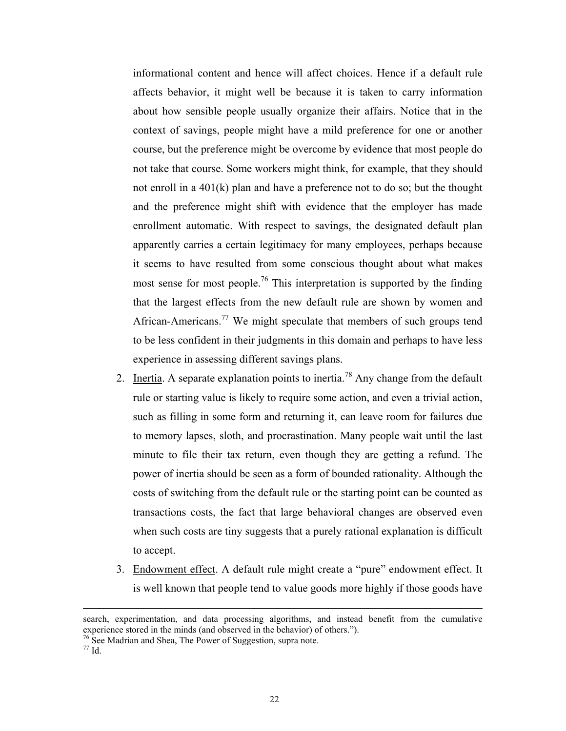informational content and hence will affect choices. Hence if a default rule affects behavior, it might well be because it is taken to carry information about how sensible people usually organize their affairs. Notice that in the context of savings, people might have a mild preference for one or another course, but the preference might be overcome by evidence that most people do not take that course. Some workers might think, for example, that they should not enroll in a 401(k) plan and have a preference not to do so; but the thought and the preference might shift with evidence that the employer has made enrollment automatic. With respect to savings, the designated default plan apparently carries a certain legitimacy for many employees, perhaps because it seems to have resulted from some conscious thought about what makes most sense for most people.<sup>76</sup> This interpretation is supported by the finding that the largest effects from the new default rule are shown by women and African-Americans.<sup>77</sup> We might speculate that members of such groups tend to be less confident in their judgments in this domain and perhaps to have less experience in assessing different savings plans.

- 2. Inertia. A separate explanation points to inertia.<sup>78</sup> Any change from the default rule or starting value is likely to require some action, and even a trivial action, such as filling in some form and returning it, can leave room for failures due to memory lapses, sloth, and procrastination. Many people wait until the last minute to file their tax return, even though they are getting a refund. The power of inertia should be seen as a form of bounded rationality. Although the costs of switching from the default rule or the starting point can be counted as transactions costs, the fact that large behavioral changes are observed even when such costs are tiny suggests that a purely rational explanation is difficult to accept.
- 3. Endowment effect. A default rule might create a "pure" endowment effect. It is well known that people tend to value goods more highly if those goods have

<span id="page-23-2"></span><span id="page-23-0"></span><sup>76</sup> See Madrian and Shea, The Power of Suggestion, supra note.  $^{77}$  Id.

<span id="page-23-1"></span>

search, experimentation, and data processing algorithms, and instead benefit from the cumulative experience stored in the minds (and observed in the behavior) of others.").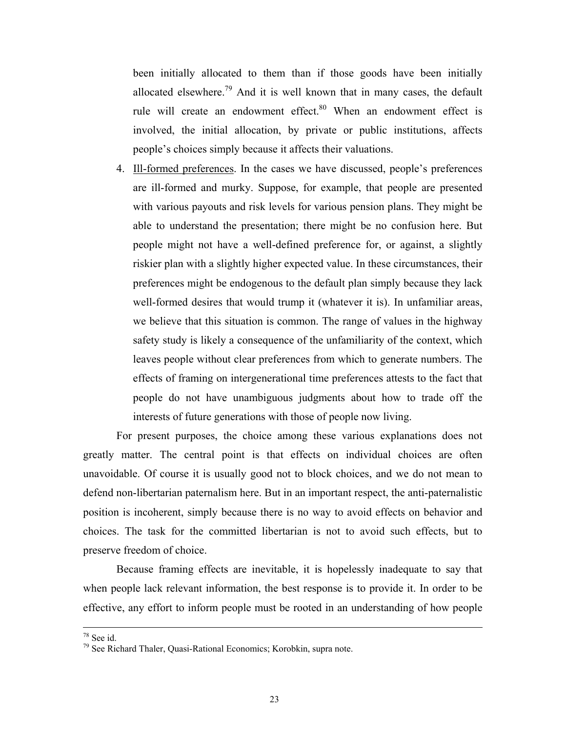been initially allocated to them than if those goods have been initially allocated elsewhere.<sup>79</sup> And it is well known that in many cases, the default rule will create an endowment effect.<sup>80</sup> When an endowment effect is involved, the initial allocation, by private or public institutions, affects people's choices simply because it affects their valuations.

4. Ill-formed preferences. In the cases we have discussed, people's preferences are ill-formed and murky. Suppose, for example, that people are presented with various payouts and risk levels for various pension plans. They might be able to understand the presentation; there might be no confusion here. But people might not have a well-defined preference for, or against, a slightly riskier plan with a slightly higher expected value. In these circumstances, their preferences might be endogenous to the default plan simply because they lack well-formed desires that would trump it (whatever it is). In unfamiliar areas, we believe that this situation is common. The range of values in the highway safety study is likely a consequence of the unfamiliarity of the context, which leaves people without clear preferences from which to generate numbers. The effects of framing on intergenerational time preferences attests to the fact that people do not have unambiguous judgments about how to trade off the interests of future generations with those of people now living.

For present purposes, the choice among these various explanations does not greatly matter. The central point is that effects on individual choices are often unavoidable. Of course it is usually good not to block choices, and we do not mean to defend non-libertarian paternalism here. But in an important respect, the anti-paternalistic position is incoherent, simply because there is no way to avoid effects on behavior and choices. The task for the committed libertarian is not to avoid such effects, but to preserve freedom of choice.

Because framing effects are inevitable, it is hopelessly inadequate to say that when people lack relevant information, the best response is to provide it. In order to be effective, any effort to inform people must be rooted in an understanding of how people

<span id="page-24-1"></span> <sup>78</sup> See id.

<span id="page-24-0"></span><sup>79</sup> See Richard Thaler, Quasi-Rational Economics; Korobkin, supra note.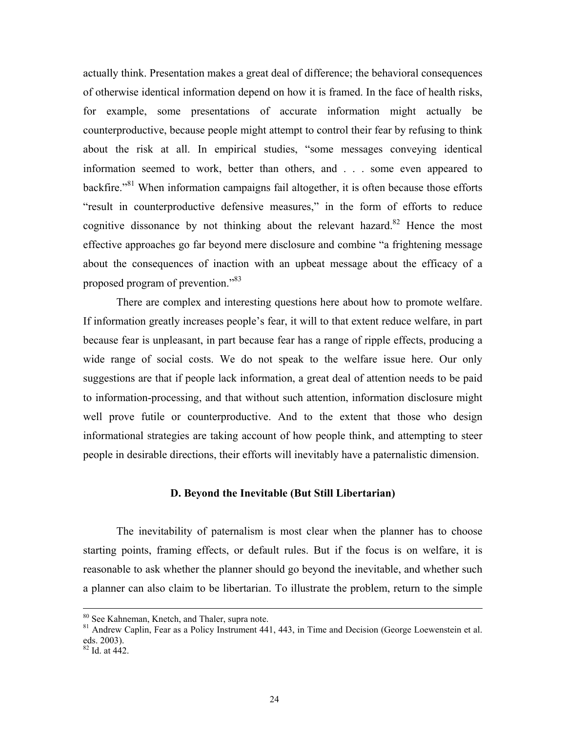actually think. Presentation makes a great deal of difference; the behavioral consequences of otherwise identical information depend on how it is framed. In the face of health risks, for example, some presentations of accurate information might actually be counterproductive, because people might attempt to control their fear by refusing to think about the risk at all. In empirical studies, "some messages conveying identical information seemed to work, better than others, and . . . some even appeared to backfire."<sup>81</sup> When information campaigns fail altogether, it is often because those efforts "result in counterproductive defensive measures," in the form of efforts to reduce cognitive dissonance by not thinking about the relevant hazard.<sup>82</sup> Hence the most effective approaches go far beyond mere disclosure and combine "a frightening message about the consequences of inaction with an upbeat message about the efficacy of a proposed program of prevention."<sup>83</sup>

There are complex and interesting questions here about how to promote welfare. If information greatly increases people's fear, it will to that extent reduce welfare, in part because fear is unpleasant, in part because fear has a range of ripple effects, producing a wide range of social costs. We do not speak to the welfare issue here. Our only suggestions are that if people lack information, a great deal of attention needs to be paid to information-processing, and that without such attention, information disclosure might well prove futile or counterproductive. And to the extent that those who design informational strategies are taking account of how people think, and attempting to steer people in desirable directions, their efforts will inevitably have a paternalistic dimension.

#### **D. Beyond the Inevitable (But Still Libertarian)**

The inevitability of paternalism is most clear when the planner has to choose starting points, framing effects, or default rules. But if the focus is on welfare, it is reasonable to ask whether the planner should go beyond the inevitable, and whether such a planner can also claim to be libertarian. To illustrate the problem, return to the simple

<span id="page-25-2"></span><span id="page-25-0"></span>

<sup>&</sup>lt;sup>80</sup> See Kahneman, Knetch, and Thaler, supra note.<br><sup>81</sup> Andrew Caplin, Fear as a Policy Instrument 441, 443, in Time and Decision (George Loewenstein et al. eds. 2003).

<span id="page-25-1"></span> $82$  Id. at 442.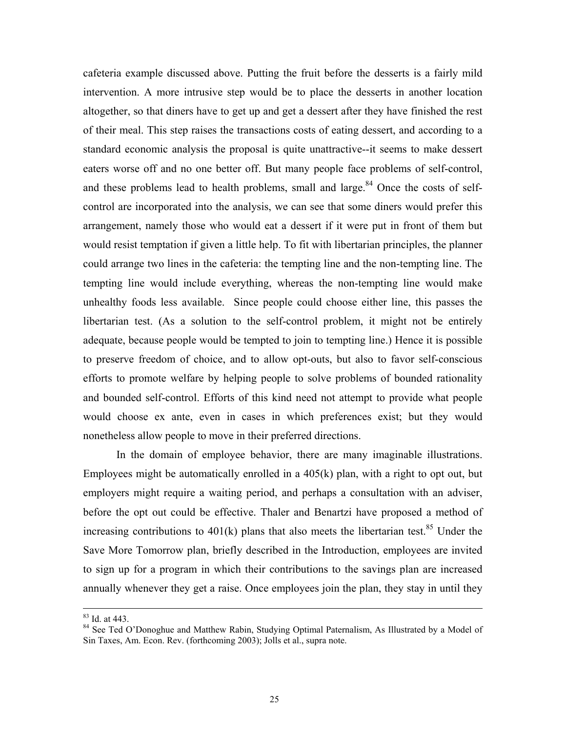cafeteria example discussed above. Putting the fruit before the desserts is a fairly mild intervention. A more intrusive step would be to place the desserts in another location altogether, so that diners have to get up and get a dessert after they have finished the rest of their meal. This step raises the transactions costs of eating dessert, and according to a standard economic analysis the proposal is quite unattractive--it seems to make dessert eaters worse off and no one better off. But many people face problems of self-control, and these problems lead to health problems, small and large. $84$  Once the costs of selfcontrol are incorporated into the analysis, we can see that some diners would prefer this arrangement, namely those who would eat a dessert if it were put in front of them but would resist temptation if given a little help. To fit with libertarian principles, the planner could arrange two lines in the cafeteria: the tempting line and the non-tempting line. The tempting line would include everything, whereas the non-tempting line would make unhealthy foods less available. Since people could choose either line, this passes the libertarian test. (As a solution to the self-control problem, it might not be entirely adequate, because people would be tempted to join to tempting line.) Hence it is possible to preserve freedom of choice, and to allow opt-outs, but also to favor self-conscious efforts to promote welfare by helping people to solve problems of bounded rationality and bounded self-control. Efforts of this kind need not attempt to provide what people would choose ex ante, even in cases in which preferences exist; but they would nonetheless allow people to move in their preferred directions.

In the domain of employee behavior, there are many imaginable illustrations. Employees might be automatically enrolled in a 405(k) plan, with a right to opt out, but employers might require a waiting period, and perhaps a consultation with an adviser, before the opt out could be effective. Thaler and Benartzi have proposed a method of increasing contributions to  $401(k)$  plans that also meets the libertarian test.<sup>85</sup> Under the Save More Tomorrow plan, briefly described in the Introduction, employees are invited to sign up for a program in which their contributions to the savings plan are increased annually whenever they get a raise. Once employees join the plan, they stay in until they

<span id="page-26-1"></span><span id="page-26-0"></span>

 $83$  Id. at 443.<br> $84$  See Ted O'Donoghue and Matthew Rabin, Studying Optimal Paternalism, As Illustrated by a Model of Sin Taxes, Am. Econ. Rev. (forthcoming 2003); Jolls et al., supra note.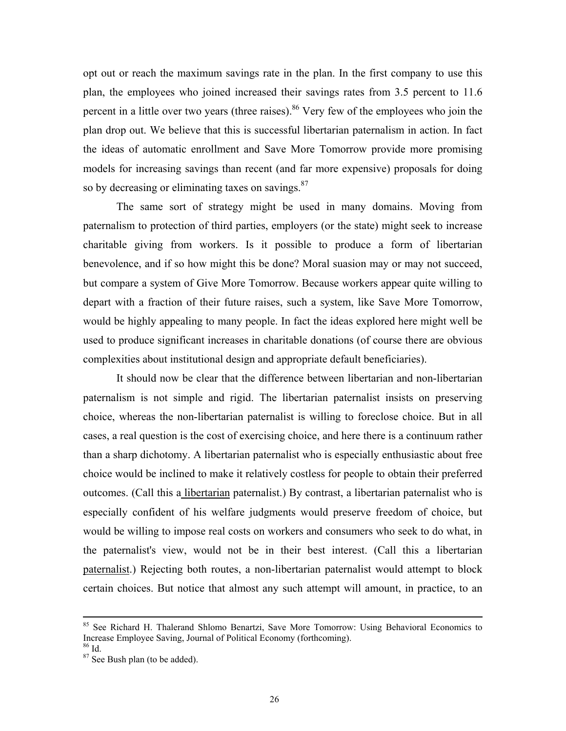opt out or reach the maximum savings rate in the plan. In the first company to use this plan, the employees who joined increased their savings rates from 3.5 percent to 11.6 percent in a little over two years (three raises).<sup>86</sup> Very few of the employees who join the plan drop out. We believe that this is successful libertarian paternalism in action. In fact the ideas of automatic enrollment and Save More Tomorrow provide more promising models for increasing savings than recent (and far more expensive) proposals for doing so by decreasing or eliminating taxes on savings.<sup>87</sup>

The same sort of strategy might be used in many domains. Moving from paternalism to protection of third parties, employers (or the state) might seek to increase charitable giving from workers. Is it possible to produce a form of libertarian benevolence, and if so how might this be done? Moral suasion may or may not succeed, but compare a system of Give More Tomorrow. Because workers appear quite willing to depart with a fraction of their future raises, such a system, like Save More Tomorrow, would be highly appealing to many people. In fact the ideas explored here might well be used to produce significant increases in charitable donations (of course there are obvious complexities about institutional design and appropriate default beneficiaries).

It should now be clear that the difference between libertarian and non-libertarian paternalism is not simple and rigid. The libertarian paternalist insists on preserving choice, whereas the non-libertarian paternalist is willing to foreclose choice. But in all cases, a real question is the cost of exercising choice, and here there is a continuum rather than a sharp dichotomy. A libertarian paternalist who is especially enthusiastic about free choice would be inclined to make it relatively costless for people to obtain their preferred outcomes. (Call this a libertarian paternalist.) By contrast, a libertarian paternalist who is especially confident of his welfare judgments would preserve freedom of choice, but would be willing to impose real costs on workers and consumers who seek to do what, in the paternalist's view, would not be in their best interest. (Call this a libertarian paternalist.) Rejecting both routes, a non-libertarian paternalist would attempt to block certain choices. But notice that almost any such attempt will amount, in practice, to an

<sup>&</sup>lt;sup>85</sup> See Richard H. Thalerand Shlomo Benartzi, Save More Tomorrow: Using Behavioral Economics to Increase Employee Saving, Journal of Political Economy (forthcoming). 86 Id.

<span id="page-27-0"></span>

<span id="page-27-1"></span><sup>87</sup> See Bush plan (to be added).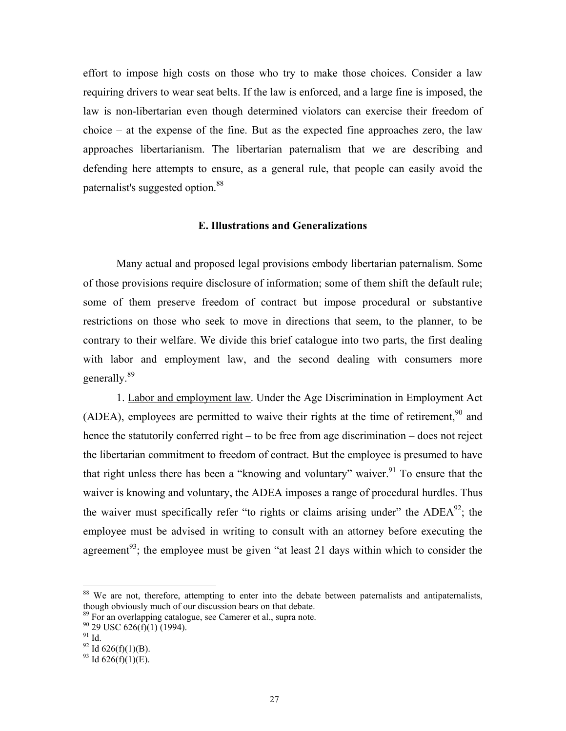effort to impose high costs on those who try to make those choices. Consider a law requiring drivers to wear seat belts. If the law is enforced, and a large fine is imposed, the law is non-libertarian even though determined violators can exercise their freedom of choice – at the expense of the fine. But as the expected fine approaches zero, the law approaches libertarianism. The libertarian paternalism that we are describing and defending here attempts to ensure, as a general rule, that people can easily avoid the paternalist's suggested option.<sup>88</sup>

#### **E. Illustrations and Generalizations**

Many actual and proposed legal provisions embody libertarian paternalism. Some of those provisions require disclosure of information; some of them shift the default rule; some of them preserve freedom of contract but impose procedural or substantive restrictions on those who seek to move in directions that seem, to the planner, to be contrary to their welfare. We divide this brief catalogue into two parts, the first dealing with labor and employment law, and the second dealing with consumers more generally.<sup>[89](#page-28-1)</sup>

1. Labor and employment law. Under the Age Discrimination in Employment Act (ADEA), employees are permitted to waive their rights at the time of retirement.<sup>90</sup> and hence the statutorily conferred right – to be free from age discrimination – does not reject the libertarian commitment to freedom of contract. But the employee is presumed to have that right unless there has been a "knowing and voluntary" waiver. <sup>91</sup> To ensure that the waiver is knowing and voluntary, the ADEA imposes a range of procedural hurdles. Thus the waiver must specifically refer "to rights or claims arising under" the  $ADEA^{92}$ ; the employee must be advised in writing to consult with an attorney before executing the agreement<sup>93</sup>; the employee must be given "at least 21 days within which to consider the

1

<span id="page-28-0"></span><sup>&</sup>lt;sup>88</sup> We are not, therefore, attempting to enter into the debate between paternalists and antipaternalists, though obviously much of our discussion bears on that debate. <sup>89</sup> For an overlapping catalogue, see Camerer et al., supra note. <sup>90</sup> 29 USC 626(f)(1) (1994).

<span id="page-28-1"></span>

<span id="page-28-2"></span>

<span id="page-28-3"></span> $91$  Id.

<span id="page-28-4"></span> $92$  Id 626(f)(1)(B).

<span id="page-28-5"></span> $93$  Id 626(f)(1)(E).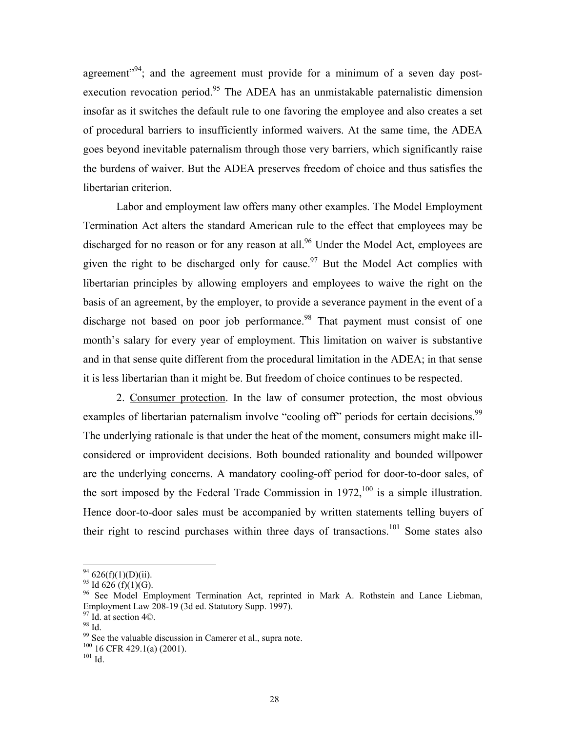agreement"<sup>94</sup>; and the agreement must provide for a minimum of a seven day postexecution revocation period.<sup>95</sup> The ADEA has an unmistakable paternalistic dimension insofar as it switches the default rule to one favoring the employee and also creates a set of procedural barriers to insufficiently informed waivers. At the same time, the ADEA goes beyond inevitable paternalism through those very barriers, which significantly raise the burdens of waiver. But the ADEA preserves freedom of choice and thus satisfies the libertarian criterion.

Labor and employment law offers many other examples. The Model Employment Termination Act alters the standard American rule to the effect that employees may be discharged for no reason or for any reason at all.<sup>96</sup> Under the Model Act, employees are given the right to be discharged only for cause.<sup>97</sup> But the Model Act complies with libertarian principles by allowing employers and employees to waive the right on the basis of an agreement, by the employer, to provide a severance payment in the event of a discharge not based on poor job performance.<sup>98</sup> That payment must consist of one month's salary for every year of employment. This limitation on waiver is substantive and in that sense quite different from the procedural limitation in the ADEA; in that sense it is less libertarian than it might be. But freedom of choice continues to be respected.

2. Consumer protection. In the law of consumer protection, the most obvious examples of libertarian paternalism involve "cooling off" periods for certain decisions.<sup>99</sup> The underlying rationale is that under the heat of the moment, consumers might make illconsidered or improvident decisions. Both bounded rationality and bounded willpower are the underlying concerns. A mandatory cooling-off period for door-to-door sales, of the sort imposed by the Federal Trade Commission in  $1972$ ,<sup>100</sup> is a simple illustration. Hence door-to-door sales must be accompanied by written statements telling buyers of their right to rescind purchases within three days of transactions.<sup>101</sup> Some states also

<span id="page-29-0"></span> $94\,626(f)(1)(D)(ii)$ .

<span id="page-29-1"></span><sup>&</sup>lt;sup>95</sup> Id 626 (f)(1)(G).

<span id="page-29-2"></span><sup>96</sup> See Model Employment Termination Act, reprinted in Mark A. Rothstein and Lance Liebman, Employment Law 208-19 (3d ed. Statutory Supp. 1997).<br><sup>97</sup> Id. at section 4©.

<span id="page-29-3"></span>

<span id="page-29-4"></span> $^{98}$  Id.  $\,$ 

<span id="page-29-5"></span><sup>&</sup>lt;sup>99</sup> See the valuable discussion in Camerer et al., supra note. <sup>100</sup> 16 CFR 429.1(a) (2001). <sup>101</sup> Id.

<span id="page-29-6"></span>

<span id="page-29-7"></span>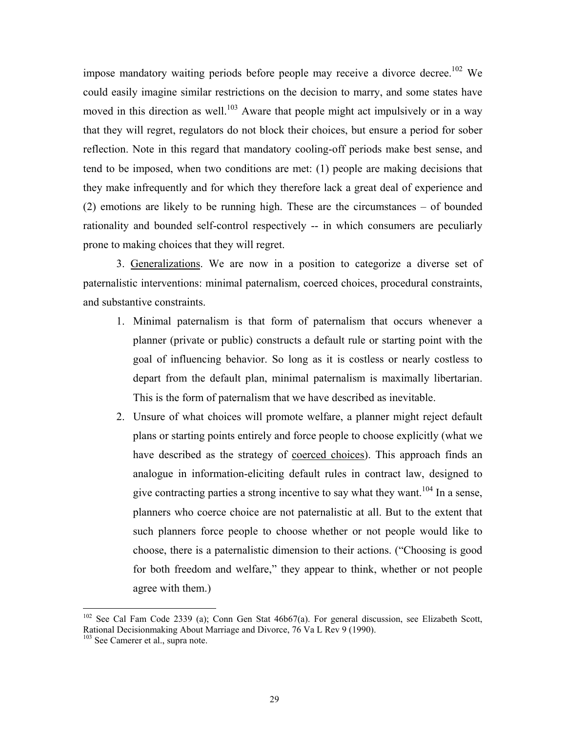impose mandatory waiting periods before people may receive a divorce decree.<sup>102</sup> We could easily imagine similar restrictions on the decision to marry, and some states have moved in this direction as well.<sup>103</sup> Aware that people might act impulsively or in a way that they will regret, regulators do not block their choices, but ensure a period for sober reflection. Note in this regard that mandatory cooling-off periods make best sense, and tend to be imposed, when two conditions are met: (1) people are making decisions that they make infrequently and for which they therefore lack a great deal of experience and (2) emotions are likely to be running high. These are the circumstances – of bounded rationality and bounded self-control respectively -- in which consumers are peculiarly prone to making choices that they will regret.

3. Generalizations. We are now in a position to categorize a diverse set of paternalistic interventions: minimal paternalism, coerced choices, procedural constraints, and substantive constraints.

- 1. Minimal paternalism is that form of paternalism that occurs whenever a planner (private or public) constructs a default rule or starting point with the goal of influencing behavior. So long as it is costless or nearly costless to depart from the default plan, minimal paternalism is maximally libertarian. This is the form of paternalism that we have described as inevitable.
- 2. Unsure of what choices will promote welfare, a planner might reject default plans or starting points entirely and force people to choose explicitly (what we have described as the strategy of coerced choices). This approach finds an analogue in information-eliciting default rules in contract law, designed to give contracting parties a strong incentive to say what they want.<sup>104</sup> In a sense, planners who coerce choice are not paternalistic at all. But to the extent that such planners force people to choose whether or not people would like to choose, there is a paternalistic dimension to their actions. ("Choosing is good for both freedom and welfare," they appear to think, whether or not people agree with them.)

<span id="page-30-0"></span><sup>&</sup>lt;sup>102</sup> See Cal Fam Code 2339 (a); Conn Gen Stat 46b67(a). For general discussion, see Elizabeth Scott, Rational Decisionmaking About Marriage and Divorce, 76 Va L Rev 9 (1990).<br><sup>103</sup> See Camerer et al., supra note.

<span id="page-30-2"></span><span id="page-30-1"></span>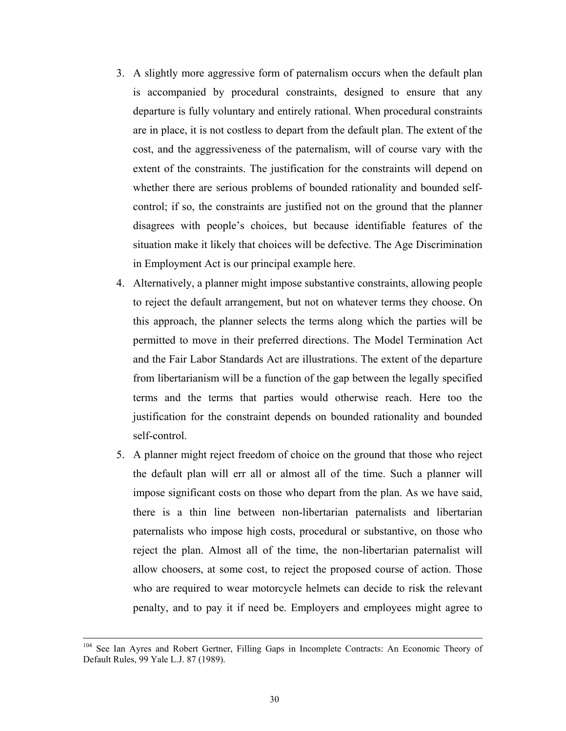- 3. A slightly more aggressive form of paternalism occurs when the default plan is accompanied by procedural constraints, designed to ensure that any departure is fully voluntary and entirely rational. When procedural constraints are in place, it is not costless to depart from the default plan. The extent of the cost, and the aggressiveness of the paternalism, will of course vary with the extent of the constraints. The justification for the constraints will depend on whether there are serious problems of bounded rationality and bounded selfcontrol; if so, the constraints are justified not on the ground that the planner disagrees with people's choices, but because identifiable features of the situation make it likely that choices will be defective. The Age Discrimination in Employment Act is our principal example here.
- 4. Alternatively, a planner might impose substantive constraints, allowing people to reject the default arrangement, but not on whatever terms they choose. On this approach, the planner selects the terms along which the parties will be permitted to move in their preferred directions. The Model Termination Act and the Fair Labor Standards Act are illustrations. The extent of the departure from libertarianism will be a function of the gap between the legally specified terms and the terms that parties would otherwise reach. Here too the justification for the constraint depends on bounded rationality and bounded self-control.
- 5. A planner might reject freedom of choice on the ground that those who reject the default plan will err all or almost all of the time. Such a planner will impose significant costs on those who depart from the plan. As we have said, there is a thin line between non-libertarian paternalists and libertarian paternalists who impose high costs, procedural or substantive, on those who reject the plan. Almost all of the time, the non-libertarian paternalist will allow choosers, at some cost, to reject the proposed course of action. Those who are required to wear motorcycle helmets can decide to risk the relevant penalty, and to pay it if need be. Employers and employees might agree to

<sup>&</sup>lt;sup>104</sup> See Ian Ayres and Robert Gertner, Filling Gaps in Incomplete Contracts: An Economic Theory of Default Rules, 99 Yale L.J. 87 (1989).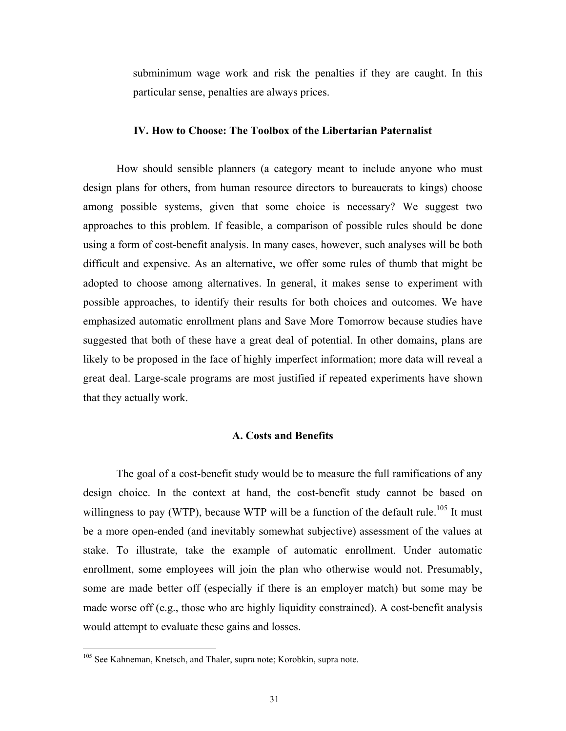subminimum wage work and risk the penalties if they are caught. In this particular sense, penalties are always prices.

#### **IV. How to Choose: The Toolbox of the Libertarian Paternalist**

How should sensible planners (a category meant to include anyone who must design plans for others, from human resource directors to bureaucrats to kings) choose among possible systems, given that some choice is necessary? We suggest two approaches to this problem. If feasible, a comparison of possible rules should be done using a form of cost-benefit analysis. In many cases, however, such analyses will be both difficult and expensive. As an alternative, we offer some rules of thumb that might be adopted to choose among alternatives. In general, it makes sense to experiment with possible approaches, to identify their results for both choices and outcomes. We have emphasized automatic enrollment plans and Save More Tomorrow because studies have suggested that both of these have a great deal of potential. In other domains, plans are likely to be proposed in the face of highly imperfect information; more data will reveal a great deal. Large-scale programs are most justified if repeated experiments have shown that they actually work.

#### **A. Costs and Benefits**

The goal of a cost-benefit study would be to measure the full ramifications of any design choice. In the context at hand, the cost-benefit study cannot be based on willingness to pay (WTP), because WTP will be a function of the default rule.<sup>105</sup> It must be a more open-ended (and inevitably somewhat subjective) assessment of the values at stake. To illustrate, take the example of automatic enrollment. Under automatic enrollment, some employees will join the plan who otherwise would not. Presumably, some are made better off (especially if there is an employer match) but some may be made worse off (e.g., those who are highly liquidity constrained). A cost-benefit analysis would attempt to evaluate these gains and losses.

<span id="page-32-0"></span><sup>&</sup>lt;sup>105</sup> See Kahneman, Knetsch, and Thaler, supra note; Korobkin, supra note.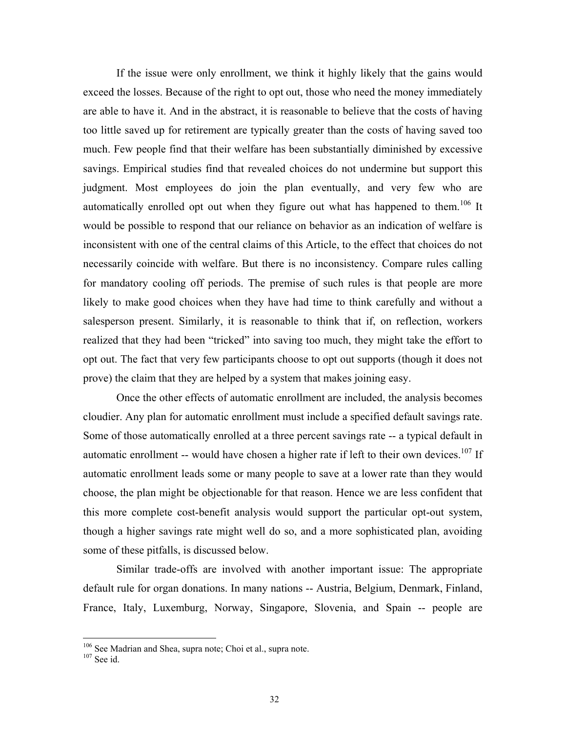If the issue were only enrollment, we think it highly likely that the gains would exceed the losses. Because of the right to opt out, those who need the money immediately are able to have it. And in the abstract, it is reasonable to believe that the costs of having too little saved up for retirement are typically greater than the costs of having saved too much. Few people find that their welfare has been substantially diminished by excessive savings. Empirical studies find that revealed choices do not undermine but support this judgment. Most employees do join the plan eventually, and very few who are automatically enrolled opt out when they figure out what has happened to them.<sup>106</sup> It would be possible to respond that our reliance on behavior as an indication of welfare is inconsistent with one of the central claims of this Article, to the effect that choices do not necessarily coincide with welfare. But there is no inconsistency. Compare rules calling for mandatory cooling off periods. The premise of such rules is that people are more likely to make good choices when they have had time to think carefully and without a salesperson present. Similarly, it is reasonable to think that if, on reflection, workers realized that they had been "tricked" into saving too much, they might take the effort to opt out. The fact that very few participants choose to opt out supports (though it does not prove) the claim that they are helped by a system that makes joining easy.

Once the other effects of automatic enrollment are included, the analysis becomes cloudier. Any plan for automatic enrollment must include a specified default savings rate. Some of those automatically enrolled at a three percent savings rate -- a typical default in automatic enrollment -- would have chosen a higher rate if left to their own devices.<sup>107</sup> If automatic enrollment leads some or many people to save at a lower rate than they would choose, the plan might be objectionable for that reason. Hence we are less confident that this more complete cost-benefit analysis would support the particular opt-out system, though a higher savings rate might well do so, and a more sophisticated plan, avoiding some of these pitfalls, is discussed below.

Similar trade-offs are involved with another important issue: The appropriate default rule for organ donations. In many nations -- Austria, Belgium, Denmark, Finland, France, Italy, Luxemburg, Norway, Singapore, Slovenia, and Spain -- people are

<span id="page-33-0"></span><sup>&</sup>lt;sup>106</sup> See Madrian and Shea, supra note; Choi et al., supra note. <sup>107</sup> See id.

<span id="page-33-1"></span>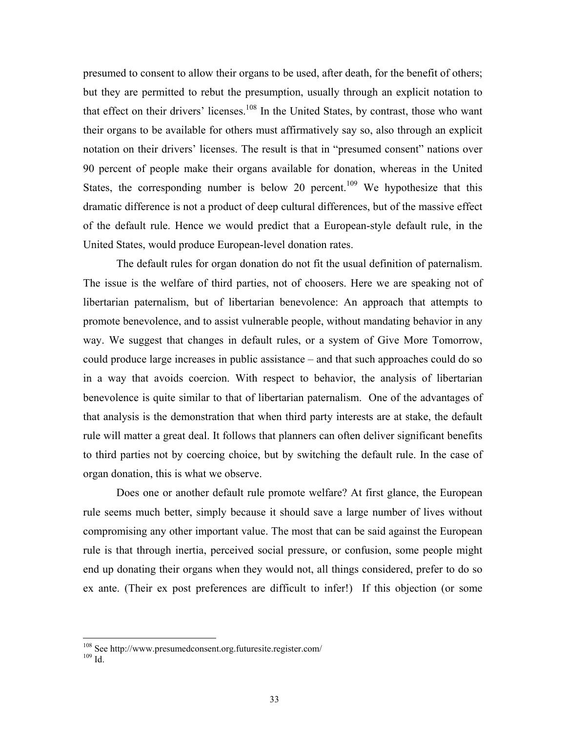presumed to consent to allow their organs to be used, after death, for the benefit of others; but they are permitted to rebut the presumption, usually through an explicit notation to that effect on their drivers' licenses.<sup>108</sup> In the United States, by contrast, those who want their organs to be available for others must affirmatively say so, also through an explicit notation on their drivers' licenses. The result is that in "presumed consent" nations over 90 percent of people make their organs available for donation, whereas in the United States, the corresponding number is below 20 percent.<sup>109</sup> We hypothesize that this dramatic difference is not a product of deep cultural differences, but of the massive effect of the default rule. Hence we would predict that a European-style default rule, in the United States, would produce European-level donation rates.

The default rules for organ donation do not fit the usual definition of paternalism. The issue is the welfare of third parties, not of choosers. Here we are speaking not of libertarian paternalism, but of libertarian benevolence: An approach that attempts to promote benevolence, and to assist vulnerable people, without mandating behavior in any way. We suggest that changes in default rules, or a system of Give More Tomorrow, could produce large increases in public assistance – and that such approaches could do so in a way that avoids coercion. With respect to behavior, the analysis of libertarian benevolence is quite similar to that of libertarian paternalism. One of the advantages of that analysis is the demonstration that when third party interests are at stake, the default rule will matter a great deal. It follows that planners can often deliver significant benefits to third parties not by coercing choice, but by switching the default rule. In the case of organ donation, this is what we observe.

Does one or another default rule promote welfare? At first glance, the European rule seems much better, simply because it should save a large number of lives without compromising any other important value. The most that can be said against the European rule is that through inertia, perceived social pressure, or confusion, some people might end up donating their organs when they would not, all things considered, prefer to do so ex ante. (Their ex post preferences are difficult to infer!) If this objection (or some

1

<span id="page-34-1"></span><span id="page-34-0"></span><sup>&</sup>lt;sup>108</sup> See http://www.presumedconsent.org.futuresite.register.com/<br><sup>109</sup> Id.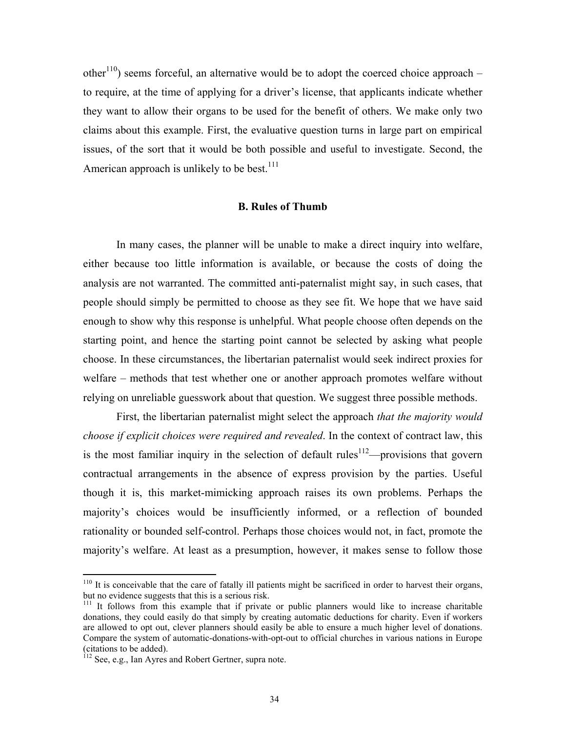other<sup>110</sup>) seems forceful, an alternative would be to adopt the coerced choice approach – to require, at the time of applying for a driver's license, that applicants indicate whether they want to allow their organs to be used for the benefit of others. We make only two claims about this example. First, the evaluative question turns in large part on empirical issues, of the sort that it would be both possible and useful to investigate. Second, the American approach is unlikely to be best.<sup>[111](#page-35-1)</sup>

#### **B. Rules of Thumb**

In many cases, the planner will be unable to make a direct inquiry into welfare, either because too little information is available, or because the costs of doing the analysis are not warranted. The committed anti-paternalist might say, in such cases, that people should simply be permitted to choose as they see fit. We hope that we have said enough to show why this response is unhelpful. What people choose often depends on the starting point, and hence the starting point cannot be selected by asking what people choose. In these circumstances, the libertarian paternalist would seek indirect proxies for welfare – methods that test whether one or another approach promotes welfare without relying on unreliable guesswork about that question. We suggest three possible methods.

First, the libertarian paternalist might select the approach *that the majority would choose if explicit choices were required and revealed*. In the context of contract law, this is the most familiar inquiry in the selection of default rules<sup> $112$ </sup>—provisions that govern contractual arrangements in the absence of express provision by the parties. Useful though it is, this market-mimicking approach raises its own problems. Perhaps the majority's choices would be insufficiently informed, or a reflection of bounded rationality or bounded self-control. Perhaps those choices would not, in fact, promote the majority's welfare. At least as a presumption, however, it makes sense to follow those

<span id="page-35-0"></span> $110$  It is conceivable that the care of fatally ill patients might be sacrificed in order to harvest their organs, but no evidence suggests that this is a serious risk.<br><sup>111</sup> It follows from this example that if private or public planners would like to increase charitable

<span id="page-35-1"></span>donations, they could easily do that simply by creating automatic deductions for charity. Even if workers are allowed to opt out, clever planners should easily be able to ensure a much higher level of donations. Compare the system of automatic-donations-with-opt-out to official churches in various nations in Europe (citations to be added). 112 See, e.g., Ian Ayres and Robert Gertner, supra note.

<span id="page-35-2"></span>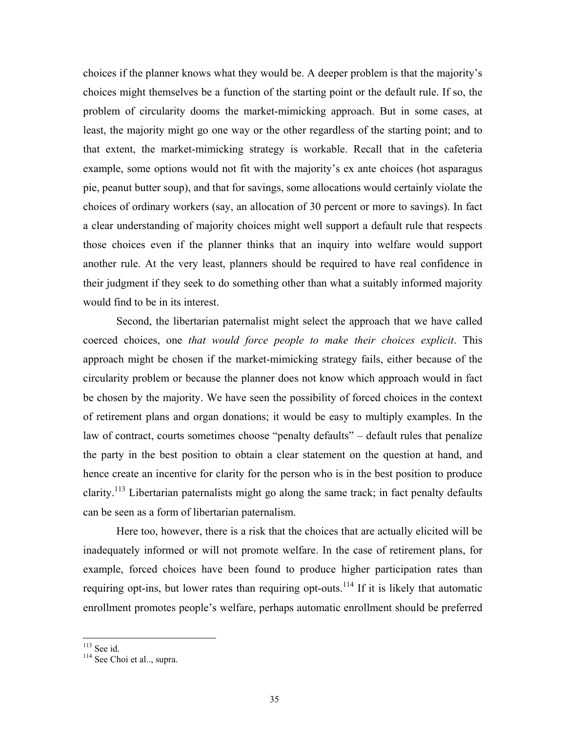choices if the planner knows what they would be. A deeper problem is that the majority's choices might themselves be a function of the starting point or the default rule. If so, the problem of circularity dooms the market-mimicking approach. But in some cases, at least, the majority might go one way or the other regardless of the starting point; and to that extent, the market-mimicking strategy is workable. Recall that in the cafeteria example, some options would not fit with the majority's ex ante choices (hot asparagus pie, peanut butter soup), and that for savings, some allocations would certainly violate the choices of ordinary workers (say, an allocation of 30 percent or more to savings). In fact a clear understanding of majority choices might well support a default rule that respects those choices even if the planner thinks that an inquiry into welfare would support another rule. At the very least, planners should be required to have real confidence in their judgment if they seek to do something other than what a suitably informed majority would find to be in its interest.

Second, the libertarian paternalist might select the approach that we have called coerced choices, one *that would force people to make their choices explicit*. This approach might be chosen if the market-mimicking strategy fails, either because of the circularity problem or because the planner does not know which approach would in fact be chosen by the majority. We have seen the possibility of forced choices in the context of retirement plans and organ donations; it would be easy to multiply examples. In the law of contract, courts sometimes choose "penalty defaults" – default rules that penalize the party in the best position to obtain a clear statement on the question at hand, and hence create an incentive for clarity for the person who is in the best position to produce clarity.<sup>113</sup> Libertarian paternalists might go along the same track; in fact penalty defaults can be seen as a form of libertarian paternalism.

Here too, however, there is a risk that the choices that are actually elicited will be inadequately informed or will not promote welfare. In the case of retirement plans, for example, forced choices have been found to produce higher participation rates than requiring opt-ins, but lower rates than requiring opt-outs.<sup>114</sup> If it is likely that automatic enrollment promotes people's welfare, perhaps automatic enrollment should be preferred

<span id="page-36-0"></span> $113$  See id.

<span id="page-36-1"></span> $114$  See Choi et al.., supra.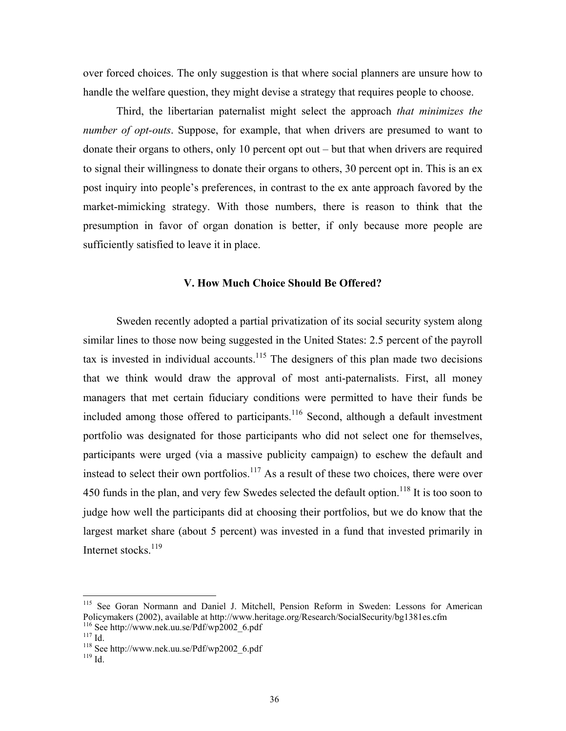over forced choices. The only suggestion is that where social planners are unsure how to handle the welfare question, they might devise a strategy that requires people to choose.

Third, the libertarian paternalist might select the approach *that minimizes the number of opt-outs*. Suppose, for example, that when drivers are presumed to want to donate their organs to others, only 10 percent opt out – but that when drivers are required to signal their willingness to donate their organs to others, 30 percent opt in. This is an ex post inquiry into people's preferences, in contrast to the ex ante approach favored by the market-mimicking strategy. With those numbers, there is reason to think that the presumption in favor of organ donation is better, if only because more people are sufficiently satisfied to leave it in place.

#### **V. How Much Choice Should Be Offered?**

Sweden recently adopted a partial privatization of its social security system along similar lines to those now being suggested in the United States: 2.5 percent of the payroll tax is invested in individual accounts.<sup>115</sup> The designers of this plan made two decisions that we think would draw the approval of most anti-paternalists. First, all money managers that met certain fiduciary conditions were permitted to have their funds be included among those offered to participants.<sup>116</sup> Second, although a default investment portfolio was designated for those participants who did not select one for themselves, participants were urged (via a massive publicity campaign) to eschew the default and instead to select their own portfolios.<sup>117</sup> As a result of these two choices, there were over 450 funds in the plan, and very few Swedes selected the default option.<sup>118</sup> It is too soon to judge how well the participants did at choosing their portfolios, but we do know that the largest market share (about 5 percent) was invested in a fund that invested primarily in Internet stocks. $119$ 

<u>.</u>

<span id="page-37-0"></span><sup>115</sup> See Goran Normann and Daniel J. Mitchell, Pension Reform in Sweden: Lessons for American Policymakers (2002), available at http://www.heritage.org/Research/SocialSecurity/bg1381es.cfm <sup>116</sup> See http://www.nek.uu.se/Pdf/wp2002\_6.pdf 117 Id. 118 See http://www.nek.uu.se/Pdf/wp2002\_6.pdf 119 Id.

<span id="page-37-2"></span><span id="page-37-1"></span>

<span id="page-37-3"></span>

<span id="page-37-4"></span>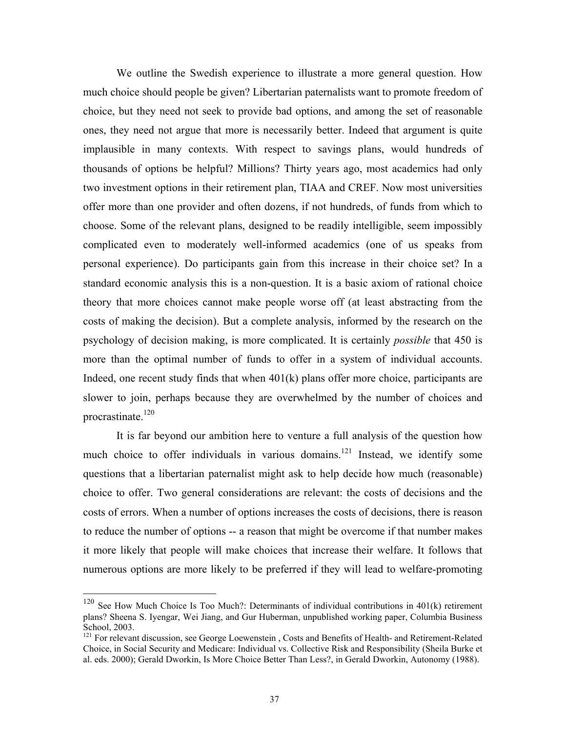We outline the Swedish experience to illustrate a more general question. How much choice should people be given? Libertarian paternalists want to promote freedom of choice, but they need not seek to provide bad options, and among the set of reasonable ones, they need not argue that more is necessarily better. Indeed that argument is quite implausible in many contexts. With respect to savings plans, would hundreds of thousands of options be helpful? Millions? Thirty years ago, most academics had only two investment options in their retirement plan, TIAA and CREF. Now most universities offer more than one provider and often dozens, if not hundreds, of funds from which to choose. Some of the relevant plans, designed to be readily intelligible, seem impossibly complicated even to moderately well-informed academics (one of us speaks from personal experience). Do participants gain from this increase in their choice set? In a standard economic analysis this is a non-question. It is a basic axiom of rational choice theory that more choices cannot make people worse off (at least abstracting from the costs of making the decision). But a complete analysis, informed by the research on the psychology of decision making, is more complicated. It is certainly *possible* that 450 is more than the optimal number of funds to offer in a system of individual accounts. Indeed, one recent study finds that when 401(k) plans offer more choice, participants are slower to join, perhaps because they are overwhelmed by the number of choices and procrastinate. $120$ 

It is far beyond our ambition here to venture a full analysis of the question how much choice to offer individuals in various domains.<sup>121</sup> Instead, we identify some questions that a libertarian paternalist might ask to help decide how much (reasonable) choice to offer. Two general considerations are relevant: the costs of decisions and the costs of errors. When a number of options increases the costs of decisions, there is reason to reduce the number of options -- a reason that might be overcome if that number makes it more likely that people will make choices that increase their welfare. It follows that numerous options are more likely to be preferred if they will lead to welfare-promoting

<span id="page-38-0"></span><sup>&</sup>lt;sup>120</sup> See How Much Choice Is Too Much?: Determinants of individual contributions in  $401(k)$  retirement plans? Sheena S. Iyengar, Wei Jiang, and Gur Huberman, unpublished working paper, Columbia Business

<span id="page-38-1"></span><sup>&</sup>lt;sup>121</sup> For relevant discussion, see George Loewenstein, Costs and Benefits of Health- and Retirement-Related Choice, in Social Security and Medicare: Individual vs. Collective Risk and Responsibility (Sheila Burke et al. eds. 2000); Gerald Dworkin, Is More Choice Better Than Less?, in Gerald Dworkin, Autonomy (1988).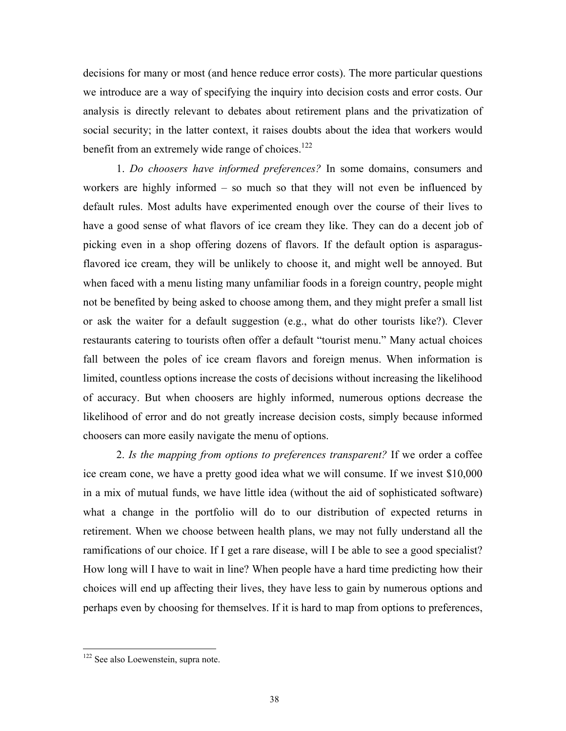decisions for many or most (and hence reduce error costs). The more particular questions we introduce are a way of specifying the inquiry into decision costs and error costs. Our analysis is directly relevant to debates about retirement plans and the privatization of social security; in the latter context, it raises doubts about the idea that workers would benefit from an extremely wide range of choices.<sup>122</sup>

1. *Do choosers have informed preferences?* In some domains, consumers and workers are highly informed – so much so that they will not even be influenced by default rules. Most adults have experimented enough over the course of their lives to have a good sense of what flavors of ice cream they like. They can do a decent job of picking even in a shop offering dozens of flavors. If the default option is asparagusflavored ice cream, they will be unlikely to choose it, and might well be annoyed. But when faced with a menu listing many unfamiliar foods in a foreign country, people might not be benefited by being asked to choose among them, and they might prefer a small list or ask the waiter for a default suggestion (e.g., what do other tourists like?). Clever restaurants catering to tourists often offer a default "tourist menu." Many actual choices fall between the poles of ice cream flavors and foreign menus. When information is limited, countless options increase the costs of decisions without increasing the likelihood of accuracy. But when choosers are highly informed, numerous options decrease the likelihood of error and do not greatly increase decision costs, simply because informed choosers can more easily navigate the menu of options.

2. *Is the mapping from options to preferences transparent?* If we order a coffee ice cream cone, we have a pretty good idea what we will consume. If we invest \$10,000 in a mix of mutual funds, we have little idea (without the aid of sophisticated software) what a change in the portfolio will do to our distribution of expected returns in retirement. When we choose between health plans, we may not fully understand all the ramifications of our choice. If I get a rare disease, will I be able to see a good specialist? How long will I have to wait in line? When people have a hard time predicting how their choices will end up affecting their lives, they have less to gain by numerous options and perhaps even by choosing for themselves. If it is hard to map from options to preferences,

<span id="page-39-0"></span><sup>&</sup>lt;sup>122</sup> See also Loewenstein, supra note.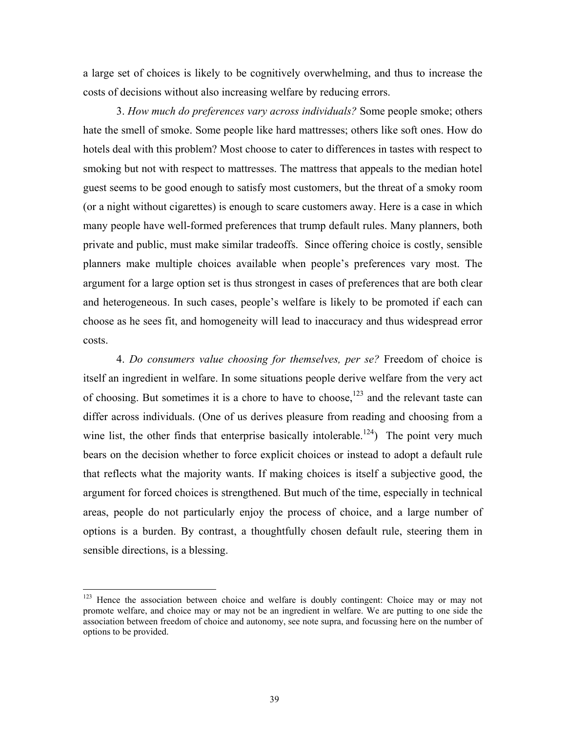a large set of choices is likely to be cognitively overwhelming, and thus to increase the costs of decisions without also increasing welfare by reducing errors.

3. *How much do preferences vary across individuals?* Some people smoke; others hate the smell of smoke. Some people like hard mattresses; others like soft ones. How do hotels deal with this problem? Most choose to cater to differences in tastes with respect to smoking but not with respect to mattresses. The mattress that appeals to the median hotel guest seems to be good enough to satisfy most customers, but the threat of a smoky room (or a night without cigarettes) is enough to scare customers away. Here is a case in which many people have well-formed preferences that trump default rules. Many planners, both private and public, must make similar tradeoffs. Since offering choice is costly, sensible planners make multiple choices available when people's preferences vary most. The argument for a large option set is thus strongest in cases of preferences that are both clear and heterogeneous. In such cases, people's welfare is likely to be promoted if each can choose as he sees fit, and homogeneity will lead to inaccuracy and thus widespread error costs.

4. *Do consumers value choosing for themselves, per se?* Freedom of choice is itself an ingredient in welfare. In some situations people derive welfare from the very act of choosing. But sometimes it is a chore to have to choose, $123$  and the relevant taste can differ across individuals. (One of us derives pleasure from reading and choosing from a wine list, the other finds that enterprise basically intolerable.<sup>124</sup>) The point very much bears on the decision whether to force explicit choices or instead to adopt a default rule that reflects what the majority wants. If making choices is itself a subjective good, the argument for forced choices is strengthened. But much of the time, especially in technical areas, people do not particularly enjoy the process of choice, and a large number of options is a burden. By contrast, a thoughtfully chosen default rule, steering them in sensible directions, is a blessing.

<span id="page-40-1"></span><span id="page-40-0"></span><sup>&</sup>lt;sup>123</sup> Hence the association between choice and welfare is doubly contingent: Choice may or may not promote welfare, and choice may or may not be an ingredient in welfare. We are putting to one side the association between freedom of choice and autonomy, see note supra, and focussing here on the number of options to be provided.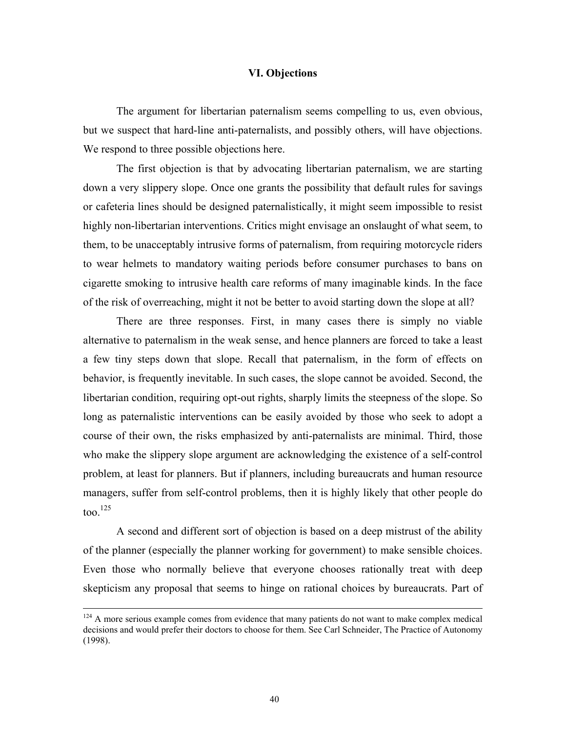#### **VI. Objections**

The argument for libertarian paternalism seems compelling to us, even obvious, but we suspect that hard-line anti-paternalists, and possibly others, will have objections. We respond to three possible objections here.

The first objection is that by advocating libertarian paternalism, we are starting down a very slippery slope. Once one grants the possibility that default rules for savings or cafeteria lines should be designed paternalistically, it might seem impossible to resist highly non-libertarian interventions. Critics might envisage an onslaught of what seem, to them, to be unacceptably intrusive forms of paternalism, from requiring motorcycle riders to wear helmets to mandatory waiting periods before consumer purchases to bans on cigarette smoking to intrusive health care reforms of many imaginable kinds. In the face of the risk of overreaching, might it not be better to avoid starting down the slope at all?

There are three responses. First, in many cases there is simply no viable alternative to paternalism in the weak sense, and hence planners are forced to take a least a few tiny steps down that slope. Recall that paternalism, in the form of effects on behavior, is frequently inevitable. In such cases, the slope cannot be avoided. Second, the libertarian condition, requiring opt-out rights, sharply limits the steepness of the slope. So long as paternalistic interventions can be easily avoided by those who seek to adopt a course of their own, the risks emphasized by anti-paternalists are minimal. Third, those who make the slippery slope argument are acknowledging the existence of a self-control problem, at least for planners. But if planners, including bureaucrats and human resource managers, suffer from self-control problems, then it is highly likely that other people do too. $125$ 

A second and different sort of objection is based on a deep mistrust of the ability of the planner (especially the planner working for government) to make sensible choices. Even those who normally believe that everyone chooses rationally treat with deep skepticism any proposal that seems to hinge on rational choices by bureaucrats. Part of

<span id="page-41-0"></span><sup>&</sup>lt;sup>124</sup> A more serious example comes from evidence that many patients do not want to make complex medical decisions and would prefer their doctors to choose for them. See Carl Schneider, The Practice of Autonomy (1998).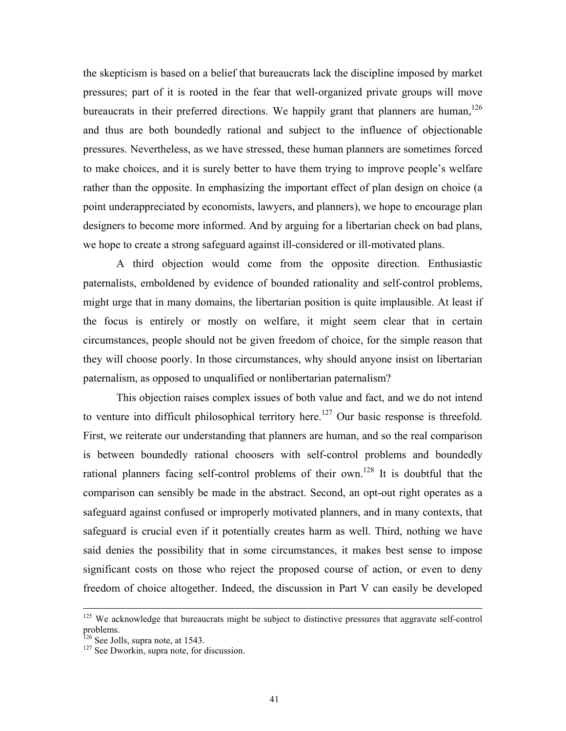the skepticism is based on a belief that bureaucrats lack the discipline imposed by market pressures; part of it is rooted in the fear that well-organized private groups will move bureaucrats in their preferred directions. We happily grant that planners are human,  $126$ and thus are both boundedly rational and subject to the influence of objectionable pressures. Nevertheless, as we have stressed, these human planners are sometimes forced to make choices, and it is surely better to have them trying to improve people's welfare rather than the opposite. In emphasizing the important effect of plan design on choice (a point underappreciated by economists, lawyers, and planners), we hope to encourage plan designers to become more informed. And by arguing for a libertarian check on bad plans, we hope to create a strong safeguard against ill-considered or ill-motivated plans.

A third objection would come from the opposite direction. Enthusiastic paternalists, emboldened by evidence of bounded rationality and self-control problems, might urge that in many domains, the libertarian position is quite implausible. At least if the focus is entirely or mostly on welfare, it might seem clear that in certain circumstances, people should not be given freedom of choice, for the simple reason that they will choose poorly. In those circumstances, why should anyone insist on libertarian paternalism, as opposed to unqualified or nonlibertarian paternalism?

This objection raises complex issues of both value and fact, and we do not intend to venture into difficult philosophical territory here.<sup>127</sup> Our basic response is threefold. First, we reiterate our understanding that planners are human, and so the real comparison is between boundedly rational choosers with self-control problems and boundedly rational planners facing self-control problems of their own.<sup>128</sup> It is doubtful that the comparison can sensibly be made in the abstract. Second, an opt-out right operates as a safeguard against confused or improperly motivated planners, and in many contexts, that safeguard is crucial even if it potentially creates harm as well. Third, nothing we have said denies the possibility that in some circumstances, it makes best sense to impose significant costs on those who reject the proposed course of action, or even to deny freedom of choice altogether. Indeed, the discussion in Part V can easily be developed

<span id="page-42-2"></span> $125$  We acknowledge that bureaucrats might be subject to distinctive pressures that aggravate self-control problems.<br><sup>126</sup> See Jolls, supra note, at 1543.<br><sup>127</sup> See Dworkin, supra note, for discussion.

<span id="page-42-0"></span>

<span id="page-42-1"></span>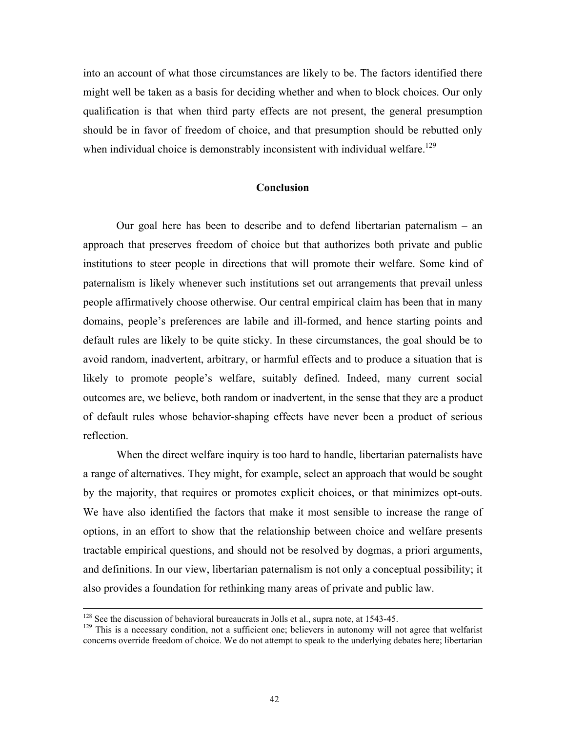into an account of what those circumstances are likely to be. The factors identified there might well be taken as a basis for deciding whether and when to block choices. Our only qualification is that when third party effects are not present, the general presumption should be in favor of freedom of choice, and that presumption should be rebutted only when individual choice is demonstrably inconsistent with individual welfare.<sup>129</sup>

#### **Conclusion**

Our goal here has been to describe and to defend libertarian paternalism – an approach that preserves freedom of choice but that authorizes both private and public institutions to steer people in directions that will promote their welfare. Some kind of paternalism is likely whenever such institutions set out arrangements that prevail unless people affirmatively choose otherwise. Our central empirical claim has been that in many domains, people's preferences are labile and ill-formed, and hence starting points and default rules are likely to be quite sticky. In these circumstances, the goal should be to avoid random, inadvertent, arbitrary, or harmful effects and to produce a situation that is likely to promote people's welfare, suitably defined. Indeed, many current social outcomes are, we believe, both random or inadvertent, in the sense that they are a product of default rules whose behavior-shaping effects have never been a product of serious reflection.

When the direct welfare inquiry is too hard to handle, libertarian paternalists have a range of alternatives. They might, for example, select an approach that would be sought by the majority, that requires or promotes explicit choices, or that minimizes opt-outs. We have also identified the factors that make it most sensible to increase the range of options, in an effort to show that the relationship between choice and welfare presents tractable empirical questions, and should not be resolved by dogmas, a priori arguments, and definitions. In our view, libertarian paternalism is not only a conceptual possibility; it also provides a foundation for rethinking many areas of private and public law.

<span id="page-43-0"></span>

<sup>&</sup>lt;sup>128</sup> See the discussion of behavioral bureaucrats in Jolls et al., supra note, at 1543-45.<br><sup>129</sup> This is a necessary condition, not a sufficient one; believers in autonomy will not agree that welfarist concerns override freedom of choice. We do not attempt to speak to the underlying debates here; libertarian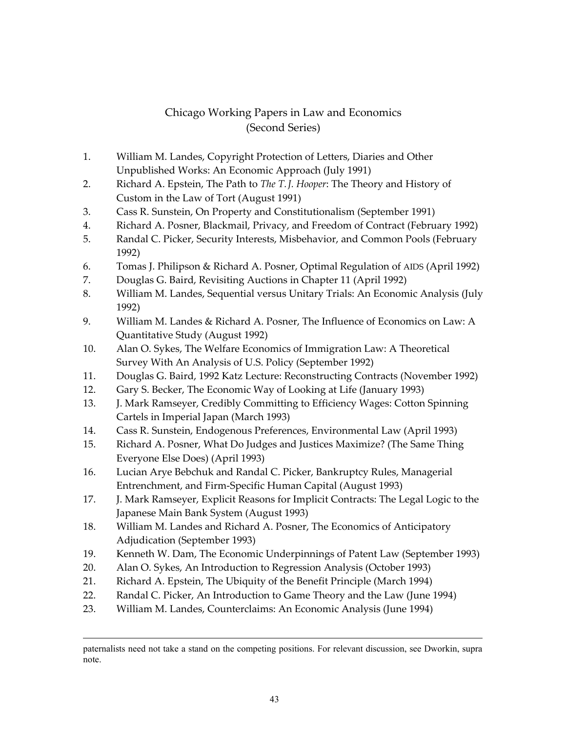## Chicago Working Papers in Law and Economics (Second Series)

- 1. William M. Landes, Copyright Protection of Letters, Diaries and Other Unpublished Works: An Economic Approach (July 1991)
- 2. Richard A. Epstein, The Path to *The T. J. Hooper*: The Theory and History of Custom in the Law of Tort (August 1991)
- 3. Cass R. Sunstein, On Property and Constitutionalism (September 1991)
- 4. Richard A. Posner, Blackmail, Privacy, and Freedom of Contract (February 1992)
- 5. Randal C. Picker, Security Interests, Misbehavior, and Common Pools (February 1992)
- 6. Tomas J. Philipson & Richard A. Posner, Optimal Regulation of AIDS (April 1992)
- 7. Douglas G. Baird, Revisiting Auctions in Chapter 11 (April 1992)
- 8. William M. Landes, Sequential versus Unitary Trials: An Economic Analysis (July 1992)
- 9. William M. Landes & Richard A. Posner, The Influence of Economics on Law: A Quantitative Study (August 1992)
- 10. Alan O. Sykes, The Welfare Economics of Immigration Law: A Theoretical Survey With An Analysis of U.S. Policy (September 1992)
- 11. Douglas G. Baird, 1992 Katz Lecture: Reconstructing Contracts (November 1992)
- 12. Gary S. Becker, The Economic Way of Looking at Life (January 1993)
- 13. J. Mark Ramseyer, Credibly Committing to Efficiency Wages: Cotton Spinning Cartels in Imperial Japan (March 1993)
- 14. Cass R. Sunstein, Endogenous Preferences, Environmental Law (April 1993)
- 15. Richard A. Posner, What Do Judges and Justices Maximize? (The Same Thing Everyone Else Does) (April 1993)
- 16. Lucian Arye Bebchuk and Randal C. Picker, Bankruptcy Rules, Managerial Entrenchment, and Firm-Specific Human Capital (August 1993)
- 17. J. Mark Ramseyer, Explicit Reasons for Implicit Contracts: The Legal Logic to the Japanese Main Bank System (August 1993)
- 18. William M. Landes and Richard A. Posner, The Economics of Anticipatory Adjudication (September 1993)
- 19. Kenneth W. Dam, The Economic Underpinnings of Patent Law (September 1993)
- 20. Alan O. Sykes, An Introduction to Regression Analysis (October 1993)
- 21. Richard A. Epstein, The Ubiquity of the Benefit Principle (March 1994)
- 22. Randal C. Picker, An Introduction to Game Theory and the Law (June 1994)
- 23. William M. Landes, Counterclaims: An Economic Analysis (June 1994)

paternalists need not take a stand on the competing positions. For relevant discussion, see Dworkin, supra note.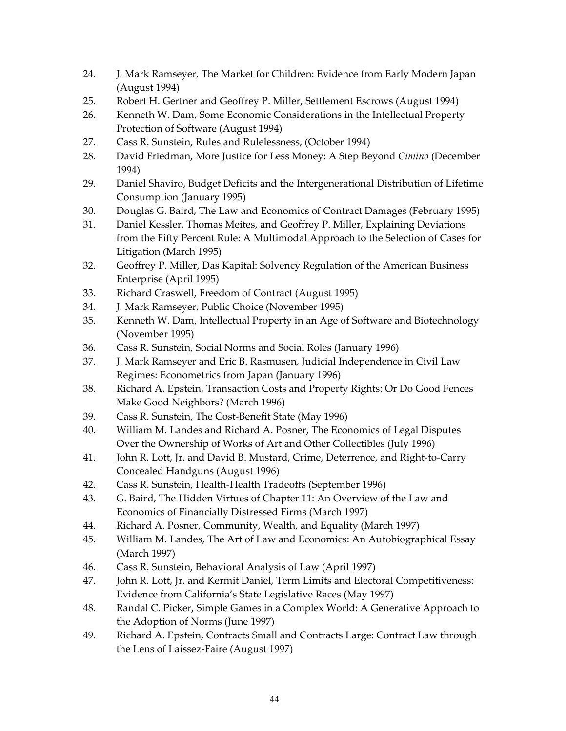- 24. J. Mark Ramseyer, The Market for Children: Evidence from Early Modern Japan (August 1994)
- 25. Robert H. Gertner and Geoffrey P. Miller, Settlement Escrows (August 1994)
- 26. Kenneth W. Dam, Some Economic Considerations in the Intellectual Property Protection of Software (August 1994)
- 27. Cass R. Sunstein, Rules and Rulelessness, (October 1994)
- 28. David Friedman, More Justice for Less Money: A Step Beyond *Cimino* (December 1994)
- 29. Daniel Shaviro, Budget Deficits and the Intergenerational Distribution of Lifetime Consumption (January 1995)
- 30. Douglas G. Baird, The Law and Economics of Contract Damages (February 1995)
- 31. Daniel Kessler, Thomas Meites, and Geoffrey P. Miller, Explaining Deviations from the Fifty Percent Rule: A Multimodal Approach to the Selection of Cases for Litigation (March 1995)
- 32. Geoffrey P. Miller, Das Kapital: Solvency Regulation of the American Business Enterprise (April 1995)
- 33. Richard Craswell, Freedom of Contract (August 1995)
- 34. J. Mark Ramseyer, Public Choice (November 1995)
- 35. Kenneth W. Dam, Intellectual Property in an Age of Software and Biotechnology (November 1995)
- 36. Cass R. Sunstein, Social Norms and Social Roles (January 1996)
- 37. J. Mark Ramseyer and Eric B. Rasmusen, Judicial Independence in Civil Law Regimes: Econometrics from Japan (January 1996)
- 38. Richard A. Epstein, Transaction Costs and Property Rights: Or Do Good Fences Make Good Neighbors? (March 1996)
- 39. Cass R. Sunstein, The Cost-Benefit State (May 1996)
- 40. William M. Landes and Richard A. Posner, The Economics of Legal Disputes Over the Ownership of Works of Art and Other Collectibles (July 1996)
- 41. John R. Lott, Jr. and David B. Mustard, Crime, Deterrence, and Right-to-Carry Concealed Handguns (August 1996)
- 42. Cass R. Sunstein, Health-Health Tradeoffs (September 1996)
- 43. G. Baird, The Hidden Virtues of Chapter 11: An Overview of the Law and Economics of Financially Distressed Firms (March 1997)
- 44. Richard A. Posner, Community, Wealth, and Equality (March 1997)
- 45. William M. Landes, The Art of Law and Economics: An Autobiographical Essay (March 1997)
- 46. Cass R. Sunstein, Behavioral Analysis of Law (April 1997)
- 47. John R. Lott, Jr. and Kermit Daniel, Term Limits and Electoral Competitiveness: Evidence from California's State Legislative Races (May 1997)
- 48. Randal C. Picker, Simple Games in a Complex World: A Generative Approach to the Adoption of Norms (June 1997)
- 49. Richard A. Epstein, Contracts Small and Contracts Large: Contract Law through the Lens of Laissez-Faire (August 1997)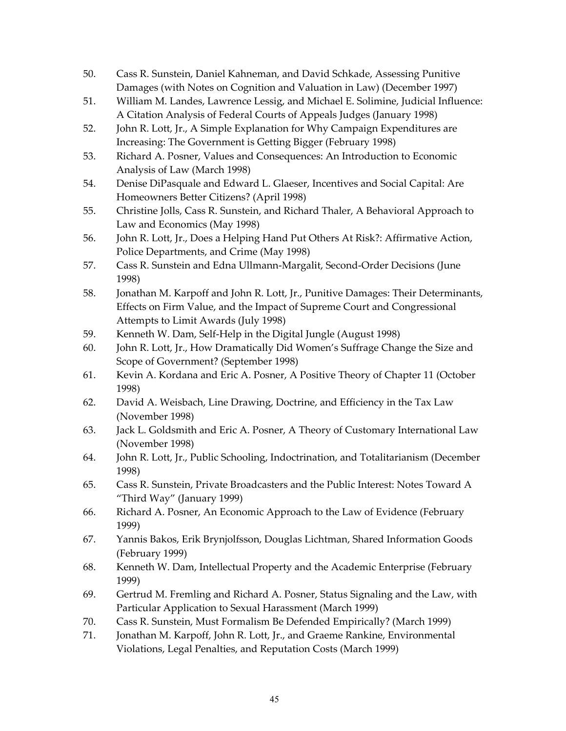- 50. Cass R. Sunstein, Daniel Kahneman, and David Schkade, Assessing Punitive Damages (with Notes on Cognition and Valuation in Law) (December 1997)
- 51. William M. Landes, Lawrence Lessig, and Michael E. Solimine, Judicial Influence: A Citation Analysis of Federal Courts of Appeals Judges (January 1998)
- 52. John R. Lott, Jr., A Simple Explanation for Why Campaign Expenditures are Increasing: The Government is Getting Bigger (February 1998)
- 53. Richard A. Posner, Values and Consequences: An Introduction to Economic Analysis of Law (March 1998)
- 54. Denise DiPasquale and Edward L. Glaeser, Incentives and Social Capital: Are Homeowners Better Citizens? (April 1998)
- 55. Christine Jolls, Cass R. Sunstein, and Richard Thaler, A Behavioral Approach to Law and Economics (May 1998)
- 56. John R. Lott, Jr., Does a Helping Hand Put Others At Risk?: Affirmative Action, Police Departments, and Crime (May 1998)
- 57. Cass R. Sunstein and Edna Ullmann-Margalit, Second-Order Decisions (June 1998)
- 58. Jonathan M. Karpoff and John R. Lott, Jr., Punitive Damages: Their Determinants, Effects on Firm Value, and the Impact of Supreme Court and Congressional Attempts to Limit Awards (July 1998)
- 59. Kenneth W. Dam, Self-Help in the Digital Jungle (August 1998)
- 60. John R. Lott, Jr., How Dramatically Did Women's Suffrage Change the Size and Scope of Government? (September 1998)
- 61. Kevin A. Kordana and Eric A. Posner, A Positive Theory of Chapter 11 (October 1998)
- 62. David A. Weisbach, Line Drawing, Doctrine, and Efficiency in the Tax Law (November 1998)
- 63. Jack L. Goldsmith and Eric A. Posner, A Theory of Customary International Law (November 1998)
- 64. John R. Lott, Jr., Public Schooling, Indoctrination, and Totalitarianism (December 1998)
- 65. Cass R. Sunstein, Private Broadcasters and the Public Interest: Notes Toward A "Third Way" (January 1999)
- 66. Richard A. Posner, An Economic Approach to the Law of Evidence (February 1999)
- 67. Yannis Bakos, Erik Brynjolfsson, Douglas Lichtman, Shared Information Goods (February 1999)
- 68. Kenneth W. Dam, Intellectual Property and the Academic Enterprise (February 1999)
- 69. Gertrud M. Fremling and Richard A. Posner, Status Signaling and the Law, with Particular Application to Sexual Harassment (March 1999)
- 70. Cass R. Sunstein, Must Formalism Be Defended Empirically? (March 1999)
- 71. Jonathan M. Karpoff, John R. Lott, Jr., and Graeme Rankine, Environmental Violations, Legal Penalties, and Reputation Costs (March 1999)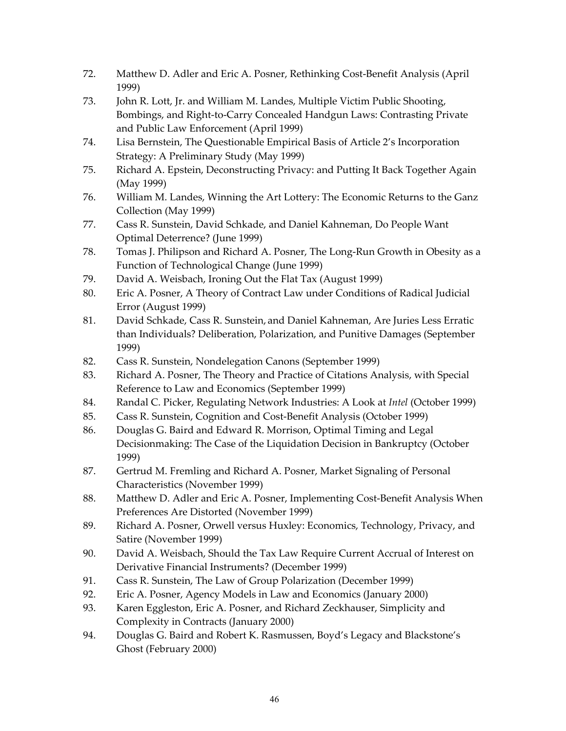- 72. Matthew D. Adler and Eric A. Posner, Rethinking Cost-Benefit Analysis (April 1999)
- 73. John R. Lott, Jr. and William M. Landes, Multiple Victim Public Shooting, Bombings, and Right-to-Carry Concealed Handgun Laws: Contrasting Private and Public Law Enforcement (April 1999)
- 74. Lisa Bernstein, The Questionable Empirical Basis of Article 2's Incorporation Strategy: A Preliminary Study (May 1999)
- 75. Richard A. Epstein, Deconstructing Privacy: and Putting It Back Together Again (May 1999)
- 76. William M. Landes, Winning the Art Lottery: The Economic Returns to the Ganz Collection (May 1999)
- 77. Cass R. Sunstein, David Schkade, and Daniel Kahneman, Do People Want Optimal Deterrence? (June 1999)
- 78. Tomas J. Philipson and Richard A. Posner, The Long-Run Growth in Obesity as a Function of Technological Change (June 1999)
- 79. David A. Weisbach, Ironing Out the Flat Tax (August 1999)
- 80. Eric A. Posner, A Theory of Contract Law under Conditions of Radical Judicial Error (August 1999)
- 81. David Schkade, Cass R. Sunstein, and Daniel Kahneman, Are Juries Less Erratic than Individuals? Deliberation, Polarization, and Punitive Damages (September 1999)
- 82. Cass R. Sunstein, Nondelegation Canons (September 1999)
- 83. Richard A. Posner, The Theory and Practice of Citations Analysis, with Special Reference to Law and Economics (September 1999)
- 84. Randal C. Picker, Regulating Network Industries: A Look at *Intel* (October 1999)
- 85. Cass R. Sunstein, Cognition and Cost-Benefit Analysis (October 1999)
- 86. Douglas G. Baird and Edward R. Morrison, Optimal Timing and Legal Decisionmaking: The Case of the Liquidation Decision in Bankruptcy (October 1999)
- 87. Gertrud M. Fremling and Richard A. Posner, Market Signaling of Personal Characteristics (November 1999)
- 88. Matthew D. Adler and Eric A. Posner, Implementing Cost-Benefit Analysis When Preferences Are Distorted (November 1999)
- 89. Richard A. Posner, Orwell versus Huxley: Economics, Technology, Privacy, and Satire (November 1999)
- 90. David A. Weisbach, Should the Tax Law Require Current Accrual of Interest on Derivative Financial Instruments? (December 1999)
- 91. Cass R. Sunstein, The Law of Group Polarization (December 1999)
- 92. Eric A. Posner, Agency Models in Law and Economics (January 2000)
- 93. Karen Eggleston, Eric A. Posner, and Richard Zeckhauser, Simplicity and Complexity in Contracts (January 2000)
- 94. Douglas G. Baird and Robert K. Rasmussen, Boyd's Legacy and Blackstone's Ghost (February 2000)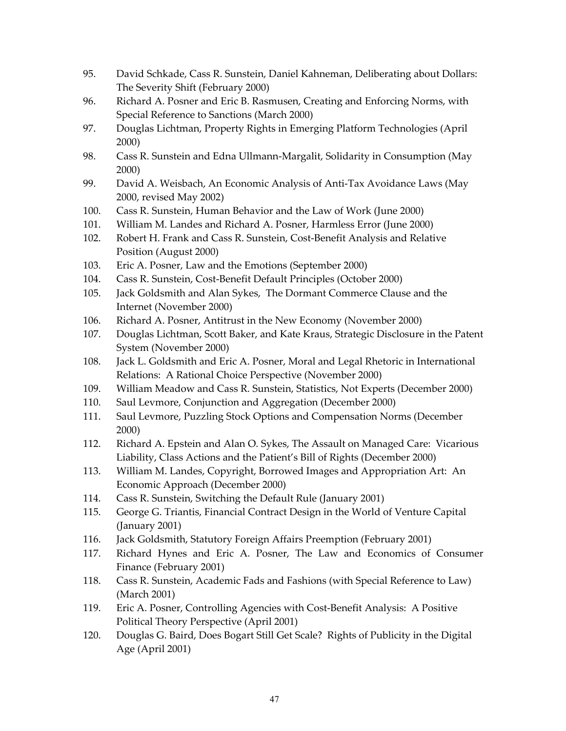- 95. David Schkade, Cass R. Sunstein, Daniel Kahneman, Deliberating about Dollars: The Severity Shift (February 2000)
- 96. Richard A. Posner and Eric B. Rasmusen, Creating and Enforcing Norms, with Special Reference to Sanctions (March 2000)
- 97. Douglas Lichtman, Property Rights in Emerging Platform Technologies (April 2000)
- 98. Cass R. Sunstein and Edna Ullmann-Margalit, Solidarity in Consumption (May 2000)
- 99. David A. Weisbach, An Economic Analysis of Anti-Tax Avoidance Laws (May 2000, revised May 2002)
- 100. Cass R. Sunstein, Human Behavior and the Law of Work (June 2000)
- 101. William M. Landes and Richard A. Posner, Harmless Error (June 2000)
- 102. Robert H. Frank and Cass R. Sunstein, Cost-Benefit Analysis and Relative Position (August 2000)
- 103. Eric A. Posner, Law and the Emotions (September 2000)
- 104. Cass R. Sunstein, Cost-Benefit Default Principles (October 2000)
- 105. Jack Goldsmith and Alan Sykes, The Dormant Commerce Clause and the Internet (November 2000)
- 106. Richard A. Posner, Antitrust in the New Economy (November 2000)
- 107. Douglas Lichtman, Scott Baker, and Kate Kraus, Strategic Disclosure in the Patent System (November 2000)
- 108. Jack L. Goldsmith and Eric A. Posner, Moral and Legal Rhetoric in International Relations: A Rational Choice Perspective (November 2000)
- 109. William Meadow and Cass R. Sunstein, Statistics, Not Experts (December 2000)
- 110. Saul Levmore, Conjunction and Aggregation (December 2000)
- 111. Saul Levmore, Puzzling Stock Options and Compensation Norms (December 2000)
- 112. Richard A. Epstein and Alan O. Sykes, The Assault on Managed Care: Vicarious Liability, Class Actions and the Patient's Bill of Rights (December 2000)
- 113. William M. Landes, Copyright, Borrowed Images and Appropriation Art: An Economic Approach (December 2000)
- 114. Cass R. Sunstein, Switching the Default Rule (January 2001)
- 115. George G. Triantis, Financial Contract Design in the World of Venture Capital (January 2001)
- 116. Jack Goldsmith, Statutory Foreign Affairs Preemption (February 2001)
- 117. Richard Hynes and Eric A. Posner, The Law and Economics of Consumer Finance (February 2001)
- 118. Cass R. Sunstein, Academic Fads and Fashions (with Special Reference to Law) (March 2001)
- 119. Eric A. Posner, Controlling Agencies with Cost-Benefit Analysis: A Positive Political Theory Perspective (April 2001)
- 120. Douglas G. Baird, Does Bogart Still Get Scale? Rights of Publicity in the Digital Age (April 2001)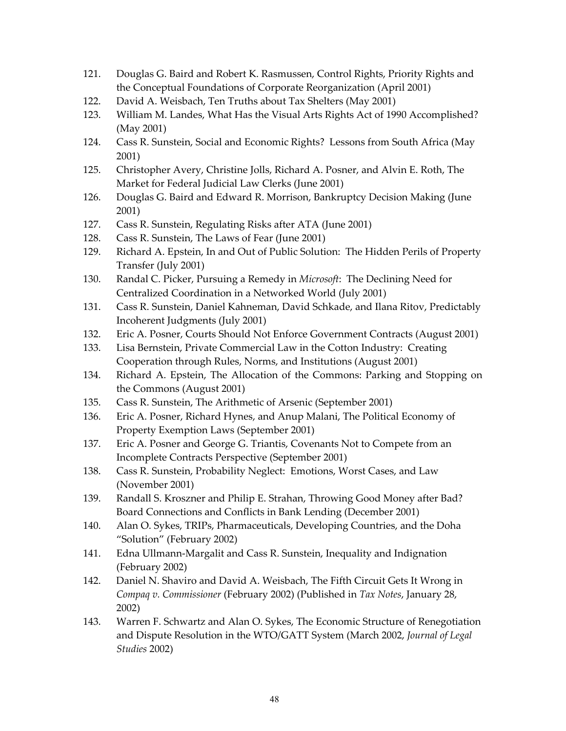- 121. Douglas G. Baird and Robert K. Rasmussen, Control Rights, Priority Rights and the Conceptual Foundations of Corporate Reorganization (April 2001)
- 122. David A. Weisbach, Ten Truths about Tax Shelters (May 2001)
- 123. William M. Landes, What Has the Visual Arts Rights Act of 1990 Accomplished? (May 2001)
- 124. Cass R. Sunstein, Social and Economic Rights? Lessons from South Africa (May 2001)
- 125. Christopher Avery, Christine Jolls, Richard A. Posner, and Alvin E. Roth, The Market for Federal Judicial Law Clerks (June 2001)
- 126. Douglas G. Baird and Edward R. Morrison, Bankruptcy Decision Making (June 2001)
- 127. Cass R. Sunstein, Regulating Risks after ATA (June 2001)
- 128. Cass R. Sunstein, The Laws of Fear (June 2001)
- 129. Richard A. Epstein, In and Out of Public Solution: The Hidden Perils of Property Transfer (July 2001)
- 130. Randal C. Picker, Pursuing a Remedy in *Microsoft*: The Declining Need for Centralized Coordination in a Networked World (July 2001)
- 131. Cass R. Sunstein, Daniel Kahneman, David Schkade, and Ilana Ritov, Predictably Incoherent Judgments (July 2001)
- 132. Eric A. Posner, Courts Should Not Enforce Government Contracts (August 2001)
- 133. Lisa Bernstein, Private Commercial Law in the Cotton Industry: Creating Cooperation through Rules, Norms, and Institutions (August 2001)
- 134. Richard A. Epstein, The Allocation of the Commons: Parking and Stopping on the Commons (August 2001)
- 135. Cass R. Sunstein, The Arithmetic of Arsenic (September 2001)
- 136. Eric A. Posner, Richard Hynes, and Anup Malani, The Political Economy of Property Exemption Laws (September 2001)
- 137. Eric A. Posner and George G. Triantis, Covenants Not to Compete from an Incomplete Contracts Perspective (September 2001)
- 138. Cass R. Sunstein, Probability Neglect: Emotions, Worst Cases, and Law (November 2001)
- 139. Randall S. Kroszner and Philip E. Strahan, Throwing Good Money after Bad? Board Connections and Conflicts in Bank Lending (December 2001)
- 140. Alan O. Sykes, TRIPs, Pharmaceuticals, Developing Countries, and the Doha "Solution" (February 2002)
- 141. Edna Ullmann-Margalit and Cass R. Sunstein, Inequality and Indignation (February 2002)
- 142. Daniel N. Shaviro and David A. Weisbach, The Fifth Circuit Gets It Wrong in *Compaq v. Commissioner* (February 2002) (Published in *Tax Notes*, January 28, 2002)
- 143. Warren F. Schwartz and Alan O. Sykes, The Economic Structure of Renegotiation and Dispute Resolution in the WTO/GATT System (March 2002, *Journal of Legal Studies* 2002)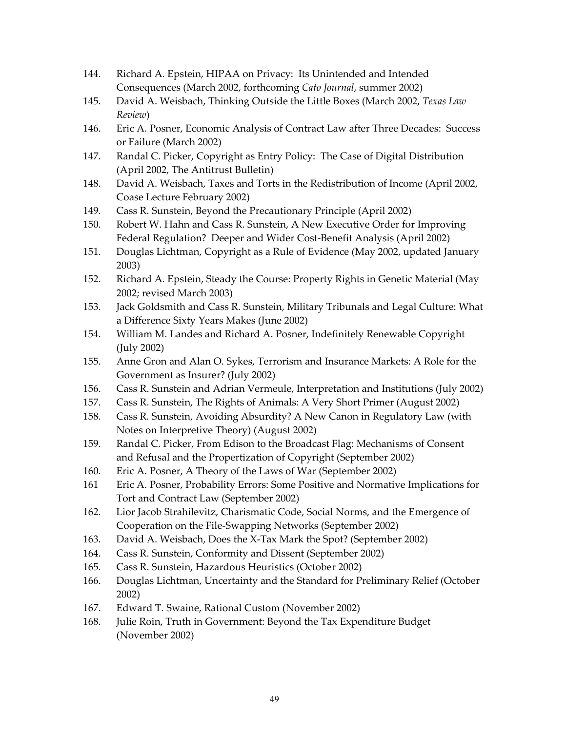- 144. Richard A. Epstein, HIPAA on Privacy: Its Unintended and Intended Consequences (March 2002, forthcoming *Cato Journal*, summer 2002)
- 145. David A. Weisbach, Thinking Outside the Little Boxes (March 2002, *Texas Law Review*)
- 146. Eric A. Posner, Economic Analysis of Contract Law after Three Decades: Success or Failure (March 2002)
- 147. Randal C. Picker, Copyright as Entry Policy: The Case of Digital Distribution (April 2002, The Antitrust Bulletin)
- 148. David A. Weisbach, Taxes and Torts in the Redistribution of Income (April 2002, Coase Lecture February 2002)
- 149. Cass R. Sunstein, Beyond the Precautionary Principle (April 2002)
- 150. Robert W. Hahn and Cass R. Sunstein, A New Executive Order for Improving Federal Regulation? Deeper and Wider Cost-Benefit Analysis (April 2002)
- 151. Douglas Lichtman, Copyright as a Rule of Evidence (May 2002, updated January 2003)
- 152. Richard A. Epstein, Steady the Course: Property Rights in Genetic Material (May 2002; revised March 2003)
- 153. Jack Goldsmith and Cass R. Sunstein, Military Tribunals and Legal Culture: What a Difference Sixty Years Makes (June 2002)
- 154. William M. Landes and Richard A. Posner, Indefinitely Renewable Copyright (July 2002)
- 155. Anne Gron and Alan O. Sykes, Terrorism and Insurance Markets: A Role for the Government as Insurer? (July 2002)
- 156. Cass R. Sunstein and Adrian Vermeule, Interpretation and Institutions (July 2002)
- 157. Cass R. Sunstein, The Rights of Animals: A Very Short Primer (August 2002)
- 158. Cass R. Sunstein, Avoiding Absurdity? A New Canon in Regulatory Law (with Notes on Interpretive Theory) (August 2002)
- 159. Randal C. Picker, From Edison to the Broadcast Flag: Mechanisms of Consent and Refusal and the Propertization of Copyright (September 2002)
- 160. Eric A. Posner, A Theory of the Laws of War (September 2002)
- 161 Eric A. Posner, Probability Errors: Some Positive and Normative Implications for Tort and Contract Law (September 2002)
- 162. Lior Jacob Strahilevitz, Charismatic Code, Social Norms, and the Emergence of Cooperation on the File-Swapping Networks (September 2002)
- 163. David A. Weisbach, Does the X-Tax Mark the Spot? (September 2002)
- 164. Cass R. Sunstein, Conformity and Dissent (September 2002)
- 165. Cass R. Sunstein, Hazardous Heuristics (October 2002)
- 166. Douglas Lichtman, Uncertainty and the Standard for Preliminary Relief (October 2002)
- 167. Edward T. Swaine, Rational Custom (November 2002)
- 168. Julie Roin, Truth in Government: Beyond the Tax Expenditure Budget (November 2002)